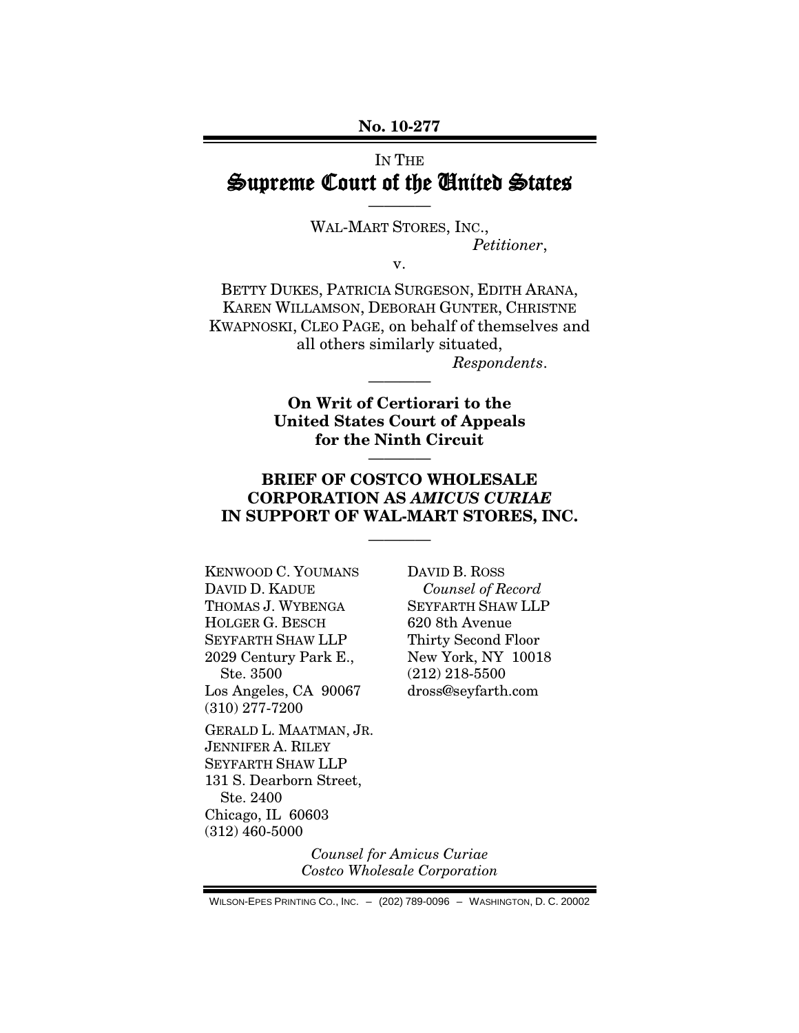**No. 10-277**

### IN THE Supreme Court of the United States

————

WAL-MART STORES, INC., *Petitioner*,

v.

BETTY DUKES, PATRICIA SURGESON, EDITH ARANA, KAREN WILLAMSON, DEBORAH GUNTER, CHRISTNE KWAPNOSKI, CLEO PAGE, on behalf of themselves and all others similarly situated, *Respondents*.

> **On Writ of Certiorari to the United States Court of Appeals for the Ninth Circuit**

> > ————

————

### **BRIEF OF COSTCO WHOLESALE CORPORATION AS** *AMICUS CURIAE* **IN SUPPORT OF WAL-MART STORES, INC.**

————

KENWOOD C. YOUMANS DAVID D. KADUE THOMAS J. WYBENGA HOLGER G. BESCH SEYFARTH SHAW LLP 2029 Century Park E., Ste. 3500 Los Angeles, CA 90067 (310) 277-7200

GERALD L. MAATMAN, JR. JENNIFER A. RILEY SEYFARTH SHAW LLP 131 S. Dearborn Street, Ste. 2400 Chicago, IL 60603 (312) 460-5000

DAVID B. ROSS *Counsel of Record* SEYFARTH SHAW LLP 620 8th Avenue Thirty Second Floor New York, NY 10018 (212) 218-5500 dross@seyfarth.com

*Counsel for Amicus Curiae Costco Wholesale Corporation*

WILSON-EPES PRINTING CO., INC. – (202) 789-0096 – WASHINGTON, D. C. 20002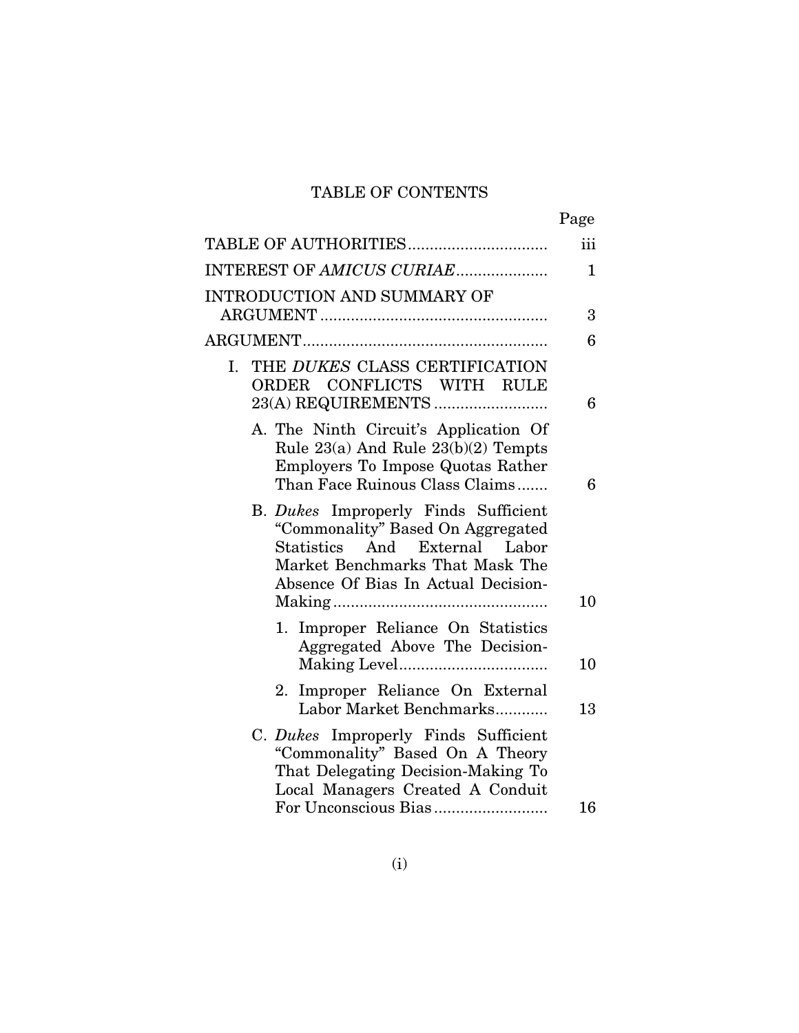# TABLE OF CONTENTS

|                                                                                                                                                                                         | Page        |
|-----------------------------------------------------------------------------------------------------------------------------------------------------------------------------------------|-------------|
| TABLE OF AUTHORITIES                                                                                                                                                                    | iii         |
| INTEREST OF AMICUS CURIAE                                                                                                                                                               | $\mathbf 1$ |
| <b>INTRODUCTION AND SUMMARY OF</b>                                                                                                                                                      | 3           |
|                                                                                                                                                                                         | 6           |
| THE DUKES CLASS CERTIFICATION<br>I.<br>ORDER CONFLICTS WITH RULE                                                                                                                        | 6           |
| A. The Ninth Circuit's Application Of<br>Rule 23(a) And Rule 23(b)(2) Tempts<br>Employers To Impose Quotas Rather<br>Than Face Ruinous Class Claims                                     | 6           |
| B. Dukes Improperly Finds Sufficient<br>"Commonality" Based On Aggregated<br>Statistics And External<br>Labor<br>Market Benchmarks That Mask The<br>Absence Of Bias In Actual Decision- |             |
| 1. Improper Reliance On Statistics<br>Aggregated Above The Decision-                                                                                                                    | 10          |
|                                                                                                                                                                                         | 10          |
| Improper Reliance On External<br>2.<br>Labor Market Benchmarks                                                                                                                          | 13          |
| C. Dukes Improperly Finds Sufficient<br>"Commonality" Based On A Theory<br>That Delegating Decision-Making To<br>Local Managers Created A Conduit                                       |             |
|                                                                                                                                                                                         | 16          |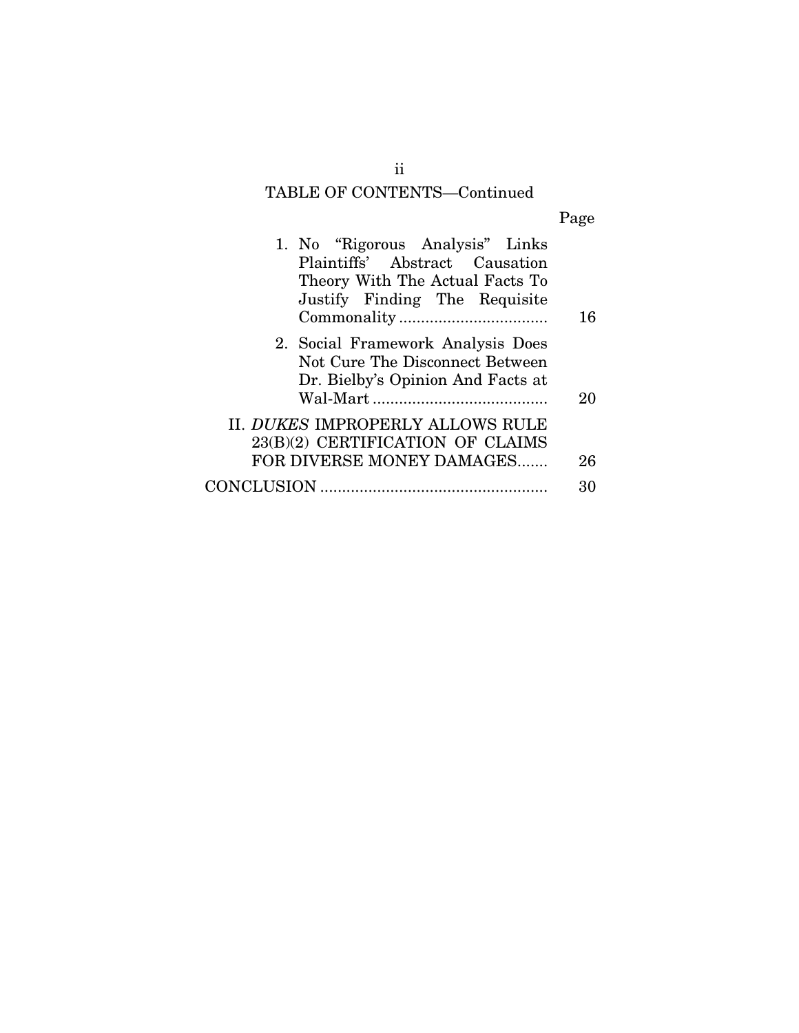# TABLE OF CONTENTS—Continued

| o<br>я<br>۰.<br>H<br>۳ |
|------------------------|

| 1. No "Rigorous Analysis" Links<br>Plaintiffs' Abstract Causation<br>Theory With The Actual Facts To<br>Justify Finding The Requisite | 16 |
|---------------------------------------------------------------------------------------------------------------------------------------|----|
| 2. Social Framework Analysis Does<br>Not Cure The Disconnect Between<br>Dr. Bielby's Opinion And Facts at                             | 20 |
| II. DUKES IMPROPERLY ALLOWS RULE<br>23(B)(2) CERTIFICATION OF CLAIMS<br>FOR DIVERSE MONEY DAMAGES                                     | 26 |
| CONCLUSION                                                                                                                            |    |

ii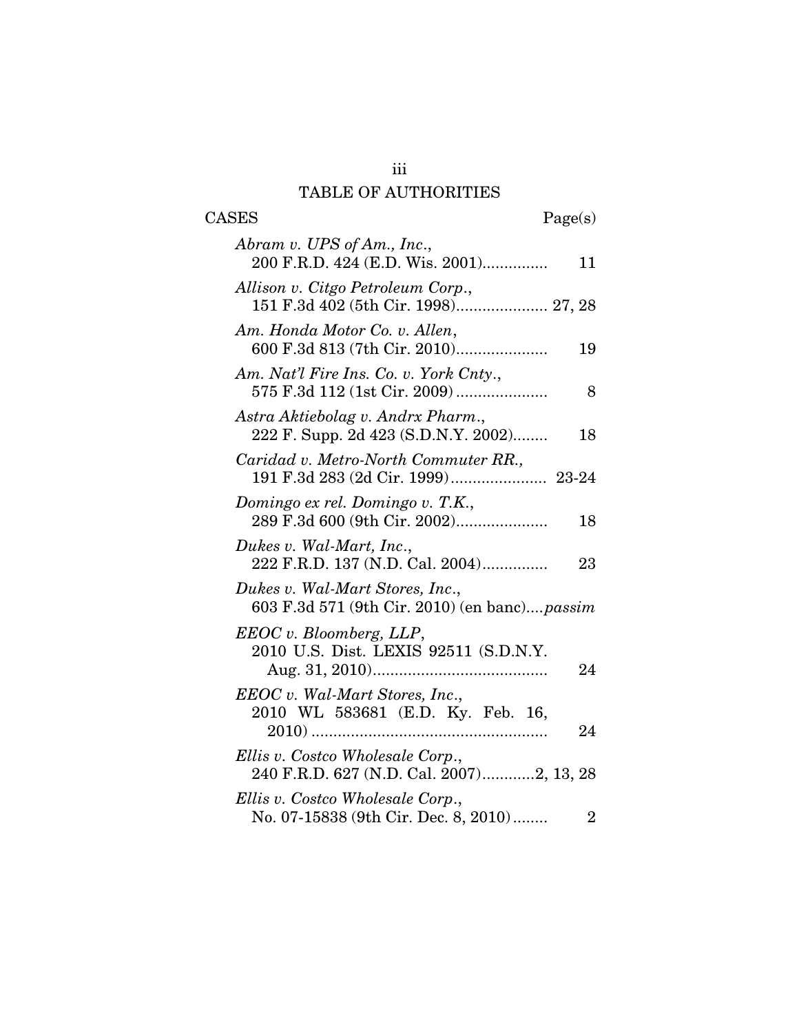## iii TABLE OF AUTHORITIES

| <b>CASES</b>                                                                    | Page(s)                 |
|---------------------------------------------------------------------------------|-------------------------|
| Abram v. UPS of Am., Inc.,<br>200 F.R.D. 424 (E.D. Wis. 2001)                   | 11                      |
| Allison v. Citgo Petroleum Corp.,<br>151 F.3d 402 (5th Cir. 1998) 27, 28        |                         |
| Am. Honda Motor Co. v. Allen,                                                   | 19                      |
| Am. Nat'l Fire Ins. Co. v. York Cnty.,                                          | 8                       |
| Astra Aktiebolag v. Andrx Pharm.,<br>222 F. Supp. 2d 423 (S.D.N.Y. 2002)        | 18                      |
| Caridad v. Metro-North Commuter RR.,                                            |                         |
| Domingo ex rel. Domingo v. T.K.,<br>289 F.3d 600 (9th Cir. 2002)                | 18                      |
| Dukes v. Wal-Mart, Inc.,<br>222 F.R.D. 137 (N.D. Cal. 2004)                     | 23                      |
| Dukes v. Wal-Mart Stores, Inc.,<br>603 F.3d 571 (9th Cir. 2010) (en banc)passim |                         |
| EEOC v. Bloomberg, LLP,                                                         |                         |
| 2010 U.S. Dist. LEXIS 92511 (S.D.N.Y.                                           | 24                      |
| EEOC v. Wal-Mart Stores, Inc.,<br>2010 WL 583681 (E.D. Ky. Feb. 16,             | 24                      |
| Ellis v. Costco Wholesale Corp.,<br>240 F.R.D. 627 (N.D. Cal. 2007)2, 13, 28    |                         |
| Ellis v. Costco Wholesale Corp.,<br>No. 07-15838 (9th Cir. Dec. 8, 2010)        | $\overline{\mathbf{2}}$ |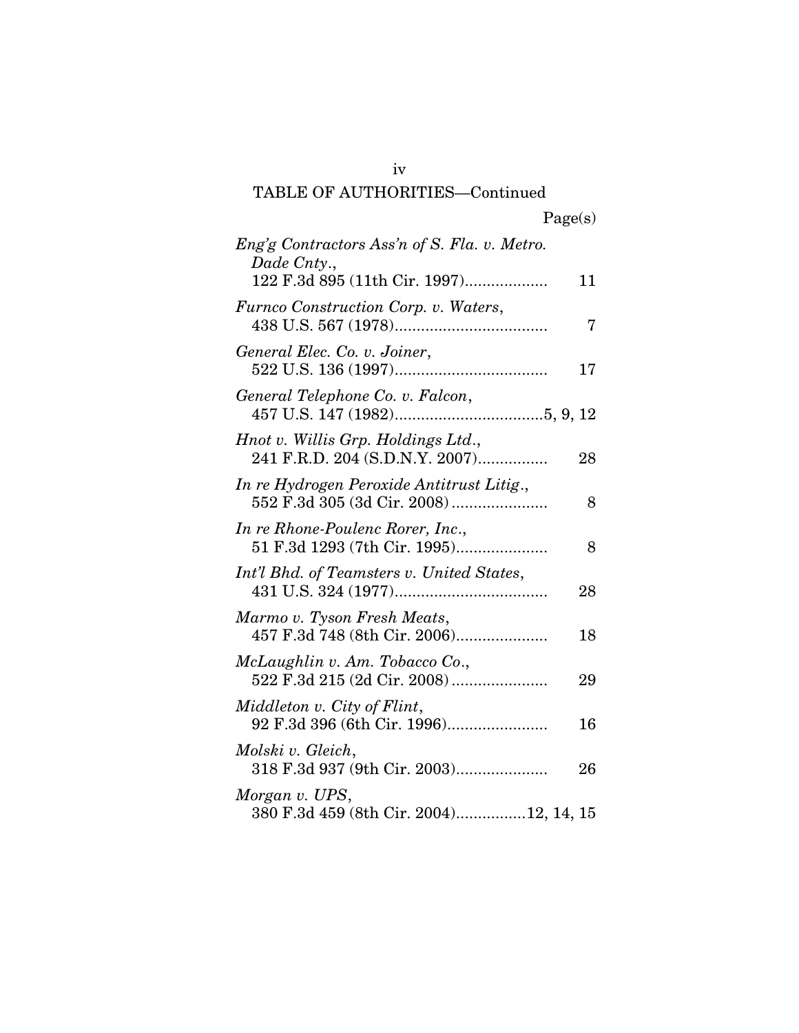## iv TABLE OF AUTHORITIES—Continued

| Eng'g Contractors Ass'n of S. Fla. v. Metro.<br>Dade Cnty.,              |    |
|--------------------------------------------------------------------------|----|
| 122 F.3d 895 (11th Cir. 1997)                                            | 11 |
| Furnco Construction Corp. v. Waters,                                     | 7  |
| General Elec. Co. v. Joiner,                                             | 17 |
| General Telephone Co. v. Falcon,                                         |    |
| Hnot v. Willis Grp. Holdings Ltd.,<br>241 F.R.D. 204 (S.D.N.Y. 2007)     | 28 |
| In re Hydrogen Peroxide Antitrust Litig.,<br>552 F.3d 305 (3d Cir. 2008) | 8  |
| In re Rhone-Poulenc Rorer, Inc.,<br>51 F.3d 1293 (7th Cir. 1995)         | 8  |
| Int'l Bhd. of Teamsters v. United States,                                | 28 |
| Marmo v. Tyson Fresh Meats,<br>457 F.3d 748 (8th Cir. 2006)              | 18 |
| McLaughlin v. Am. Tobacco Co.,                                           | 29 |
| Middleton v. City of Flint,<br>92 F.3d 396 (6th Cir. 1996)               | 16 |
| Molski v. Gleich,<br>318 F.3d 937 (9th Cir. 2003)                        | 26 |
| Morgan v. UPS,<br>380 F.3d 459 (8th Cir. 2004)12, 14, 15                 |    |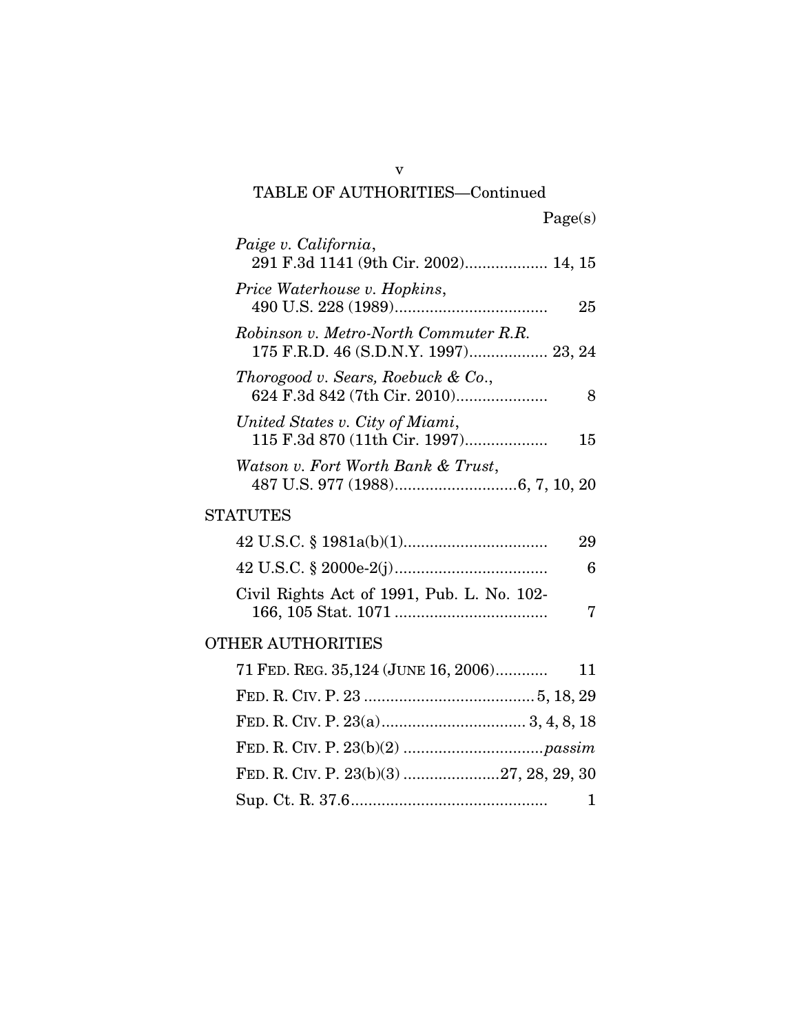### v TABLE OF AUTHORITIES—Continued

| Paige v. California,<br>291 F.3d 1141 (9th Cir. 2002) 14, 15                  |    |
|-------------------------------------------------------------------------------|----|
| Price Waterhouse v. Hopkins,                                                  | 25 |
| Robinson v. Metro-North Commuter R.R.<br>175 F.R.D. 46 (S.D.N.Y. 1997) 23, 24 |    |
| Thorogood v. Sears, Roebuck & Co.,<br>624 F.3d 842 (7th Cir. 2010)            | 8  |
| United States v. City of Miami,<br>115 F.3d 870 (11th Cir. 1997)              | 15 |
| Watson v. Fort Worth Bank & Trust,                                            |    |
| STATUTES                                                                      |    |
|                                                                               | 29 |
|                                                                               | 6  |
| Civil Rights Act of 1991, Pub. L. No. 102-                                    | 7  |
| OTHER AUTHORITIES                                                             |    |
| 71 FED. REG. 35,124 (JUNE 16, 2006)                                           | 11 |
|                                                                               |    |
|                                                                               |    |
|                                                                               |    |
| FED. R. CIV. P. 23(b)(3) 27, 28, 29, 30                                       |    |
|                                                                               | 1  |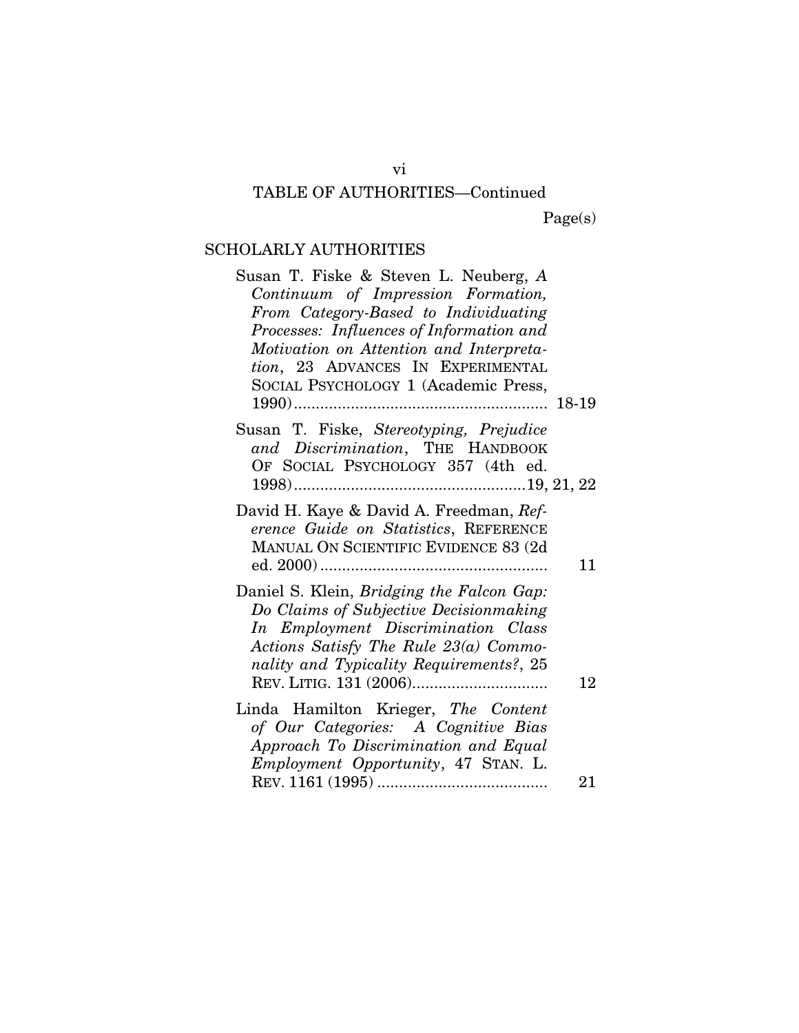## TABLE OF AUTHORITIES—Continued

Page(s)

## SCHOLARLY AUTHORITIES

| Susan T. Fiske & Steven L. Neuberg, A<br>Continuum of Impression Formation,<br>From Category-Based to Individuating<br>Processes: Influences of Information and<br>Motivation on Attention and Interpreta-<br>tion, 23 ADVANCES IN EXPERIMENTAL<br>SOCIAL PSYCHOLOGY 1 (Academic Press, |    |
|-----------------------------------------------------------------------------------------------------------------------------------------------------------------------------------------------------------------------------------------------------------------------------------------|----|
| Susan T. Fiske, Stereotyping, Prejudice<br>and Discrimination, THE HANDBOOK<br>OF SOCIAL PSYCHOLOGY 357 (4th ed.                                                                                                                                                                        |    |
| David H. Kaye & David A. Freedman, Ref-<br>erence Guide on Statistics, REFERENCE<br>MANUAL ON SCIENTIFIC EVIDENCE 83 (2d                                                                                                                                                                | 11 |
| Daniel S. Klein, Bridging the Falcon Gap:<br>Do Claims of Subjective Decisionmaking<br>In Employment Discrimination Class<br>Actions Satisfy The Rule 23(a) Commo-<br>nality and Typicality Requirements?, 25                                                                           | 12 |
| Linda Hamilton Krieger, The Content<br>of Our Categories: A Cognitive Bias<br>Approach To Discrimination and Equal<br><i>Employment Opportunity</i> , 47 STAN. L.                                                                                                                       | 21 |

vi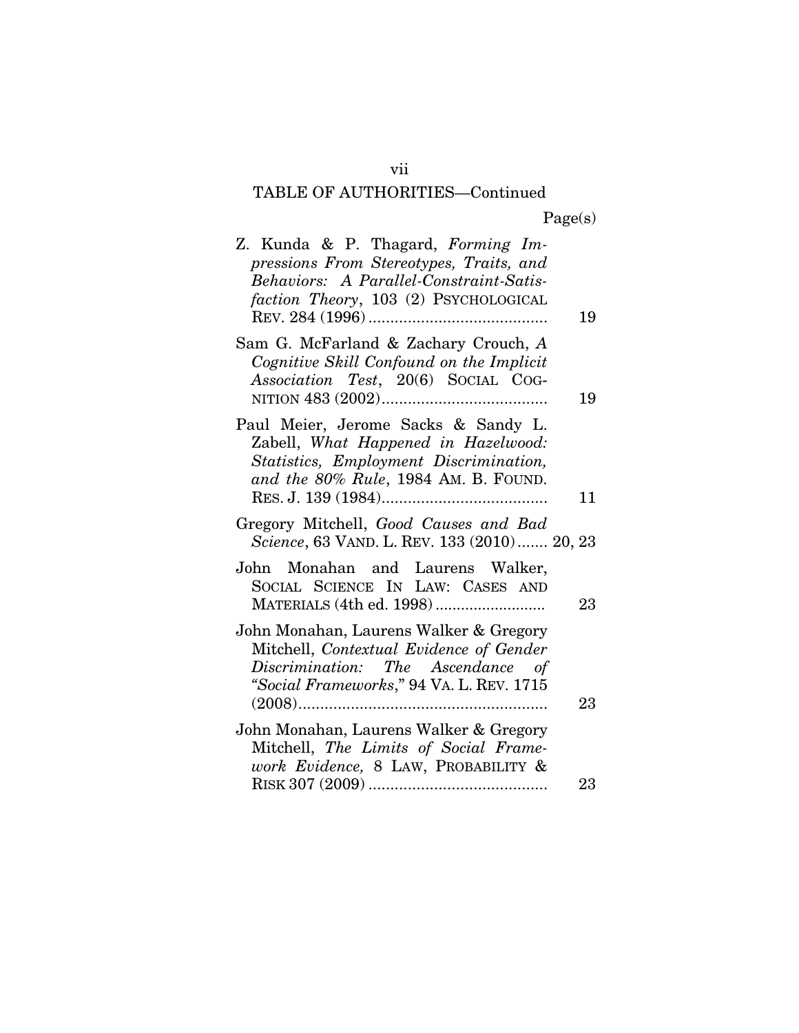# TABLE OF AUTHORITIES—Continued

| Z. Kunda & P. Thagard, Forming Im-<br>pressions From Stereotypes, Traits, and<br>Behaviors: A Parallel-Constraint-Satis-<br>faction Theory, 103 (2) PSYCHOLOGICAL  |          |
|--------------------------------------------------------------------------------------------------------------------------------------------------------------------|----------|
| Sam G. McFarland & Zachary Crouch, A<br>Cognitive Skill Confound on the Implicit<br>Association Test, 20(6) SOCIAL COG-                                            | 19<br>19 |
| Paul Meier, Jerome Sacks & Sandy L.<br>Zabell, What Happened in Hazelwood:<br>Statistics, Employment Discrimination,<br>and the 80% Rule, 1984 AM. B. FOUND.       | 11       |
| Gregory Mitchell, Good Causes and Bad<br>Science, 63 VAND. L. REV. 133 (2010) 20, 23                                                                               |          |
| John Monahan and Laurens Walker,<br>SOCIAL SCIENCE IN LAW: CASES AND                                                                                               | 23       |
| John Monahan, Laurens Walker & Gregory<br>Mitchell, Contextual Evidence of Gender<br>Discrimination: The Ascendance of<br>"Social Frameworks," 94 VA. L. REV. 1715 | $23\,$   |
| John Monahan, Laurens Walker & Gregory<br>Mitchell, The Limits of Social Frame-<br>work Evidence, 8 LAW, PROBABILITY &                                             | $23\,$   |
|                                                                                                                                                                    |          |

vii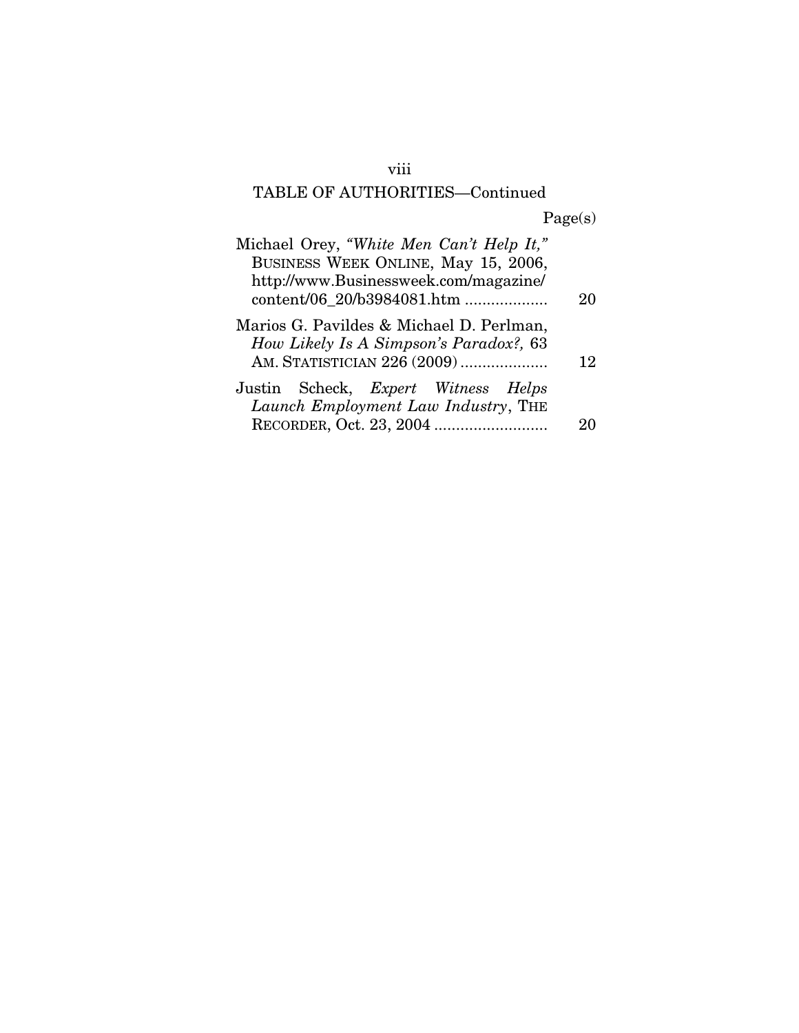## viii

# TABLE OF AUTHORITIES—Continued

Page(s)

| Michael Orey, "White Men Can't Help It,"                                          |    |
|-----------------------------------------------------------------------------------|----|
| BUSINESS WEEK ONLINE, May 15, 2006,                                               |    |
| http://www.Businessweek.com/magazine/                                             |    |
|                                                                                   | 20 |
| Marios G. Pavildes & Michael D. Perlman,                                          |    |
| How Likely Is A Simpson's Paradox?, 63                                            |    |
| AM. STATISTICIAN 226 (2009)                                                       | 12 |
|                                                                                   |    |
|                                                                                   |    |
|                                                                                   |    |
| Justin Scheck, <i>Expert Witness Helps</i><br>Launch Employment Law Industry, THE |    |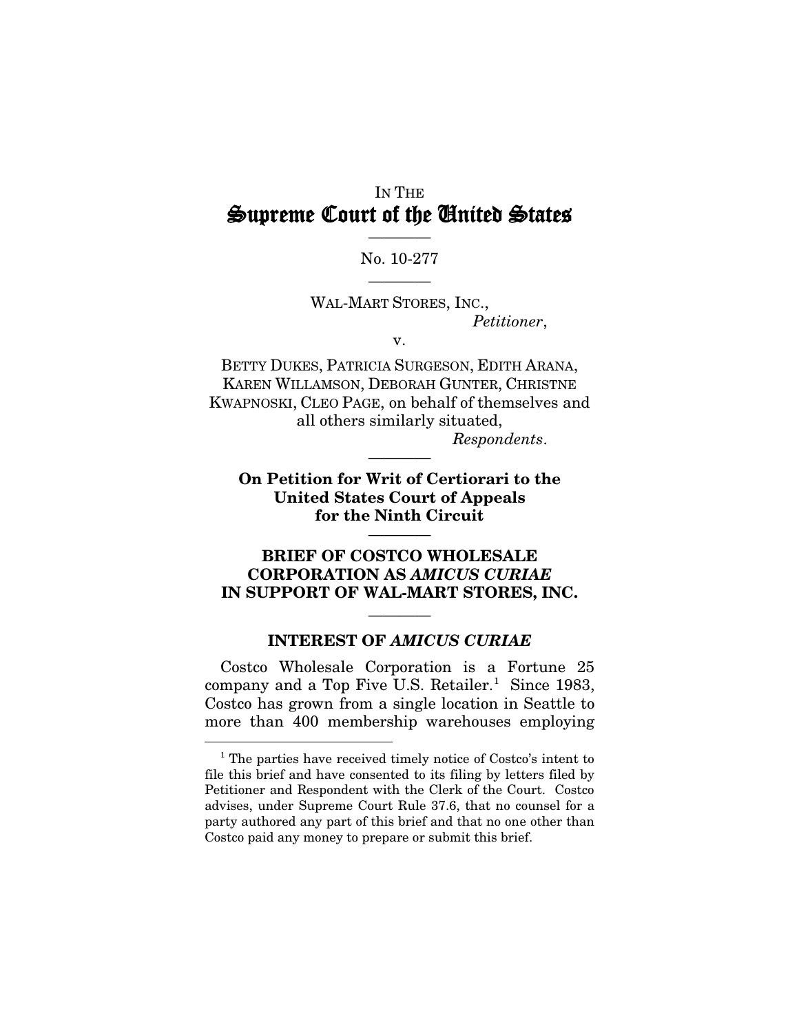## IN THE Supreme Court of the United States

### ———— No. 10-277 ————

WAL-MART STORES, INC.,

*Petitioner*,

v.

BETTY DUKES, PATRICIA SURGESON, EDITH ARANA, KAREN WILLAMSON, DEBORAH GUNTER, CHRISTNE KWAPNOSKI, CLEO PAGE, on behalf of themselves and all others similarly situated, *Respondents*.

**On Petition for Writ of Certiorari to the United States Court of Appeals for the Ninth Circuit**

————

————

### **BRIEF OF COSTCO WHOLESALE CORPORATION AS** *AMICUS CURIAE* **IN SUPPORT OF WAL-MART STORES, INC.**

## ———— **INTEREST OF** *AMICUS CURIAE*

Costco Wholesale Corporation is a Fortune 25 company and a Top Five U.S. Retailer.<sup>[1](#page-9-0)</sup> Since 1983, Costco has grown from a single location in Seattle to more than 400 membership warehouses employing

<span id="page-9-0"></span><sup>&</sup>lt;sup>1</sup> The parties have received timely notice of Costco's intent to file this brief and have consented to its filing by letters filed by Petitioner and Respondent with the Clerk of the Court. Costco advises, under Supreme Court Rule 37.6, that no counsel for a party authored any part of this brief and that no one other than Costco paid any money to prepare or submit this brief.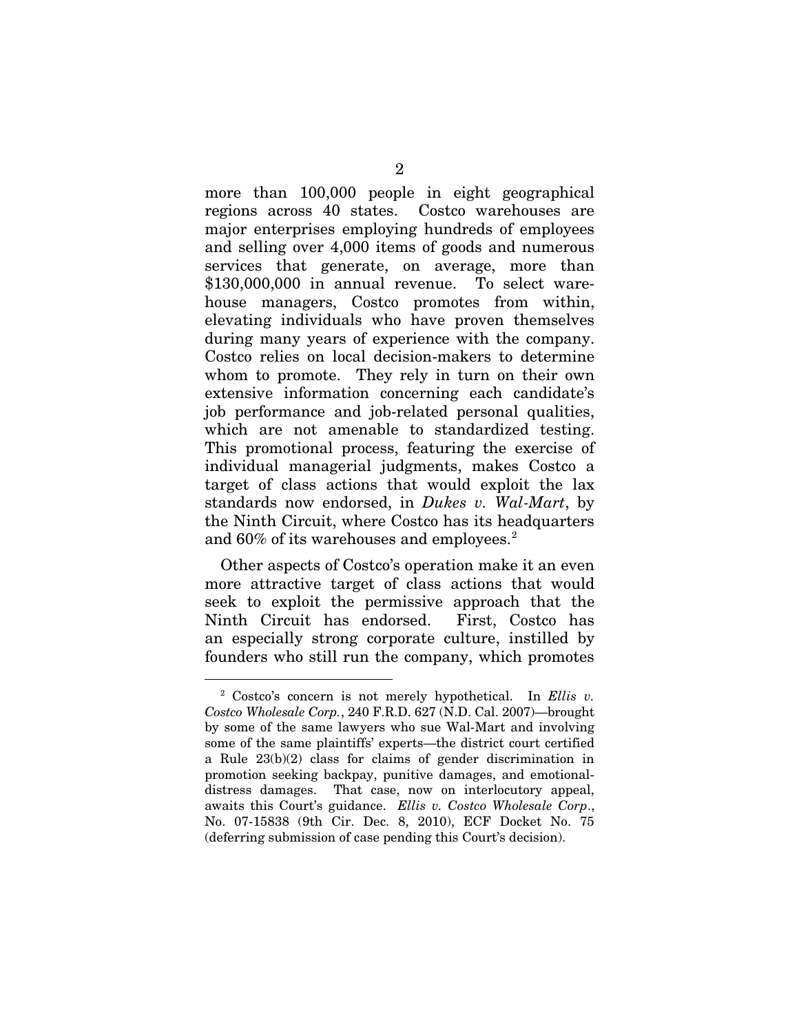more than 100,000 people in eight geographical regions across 40 states. Costco warehouses are major enterprises employing hundreds of employees and selling over 4,000 items of goods and numerous services that generate, on average, more than \$130,000,000 in annual revenue. To select warehouse managers, Costco promotes from within, elevating individuals who have proven themselves during many years of experience with the company. Costco relies on local decision-makers to determine whom to promote. They rely in turn on their own extensive information concerning each candidate's job performance and job-related personal qualities, which are not amenable to standardized testing. This promotional process, featuring the exercise of individual managerial judgments, makes Costco a target of class actions that would exploit the lax standards now endorsed, in *Dukes v. Wal-Mart*, by the Ninth Circuit, where Costco has its headquarters and 60% of its warehouses and employees.<sup>[2](#page-10-0)</sup>

Other aspects of Costco's operation make it an even more attractive target of class actions that would seek to exploit the permissive approach that the Ninth Circuit has endorsed. First, Costco has an especially strong corporate culture, instilled by founders who still run the company, which promotes

<span id="page-10-0"></span> <sup>2</sup> Costco's concern is not merely hypothetical. In *Ellis v. Costco Wholesale Corp.*, 240 F.R.D. 627 (N.D. Cal. 2007)—brought by some of the same lawyers who sue Wal-Mart and involving some of the same plaintiffs' experts—the district court certified a Rule 23(b)(2) class for claims of gender discrimination in promotion seeking backpay, punitive damages, and emotionaldistress damages. That case, now on interlocutory appeal, awaits this Court's guidance. *Ellis v. Costco Wholesale Corp*., No. 07-15838 (9th Cir. Dec. 8, 2010), ECF Docket No. 75 (deferring submission of case pending this Court's decision).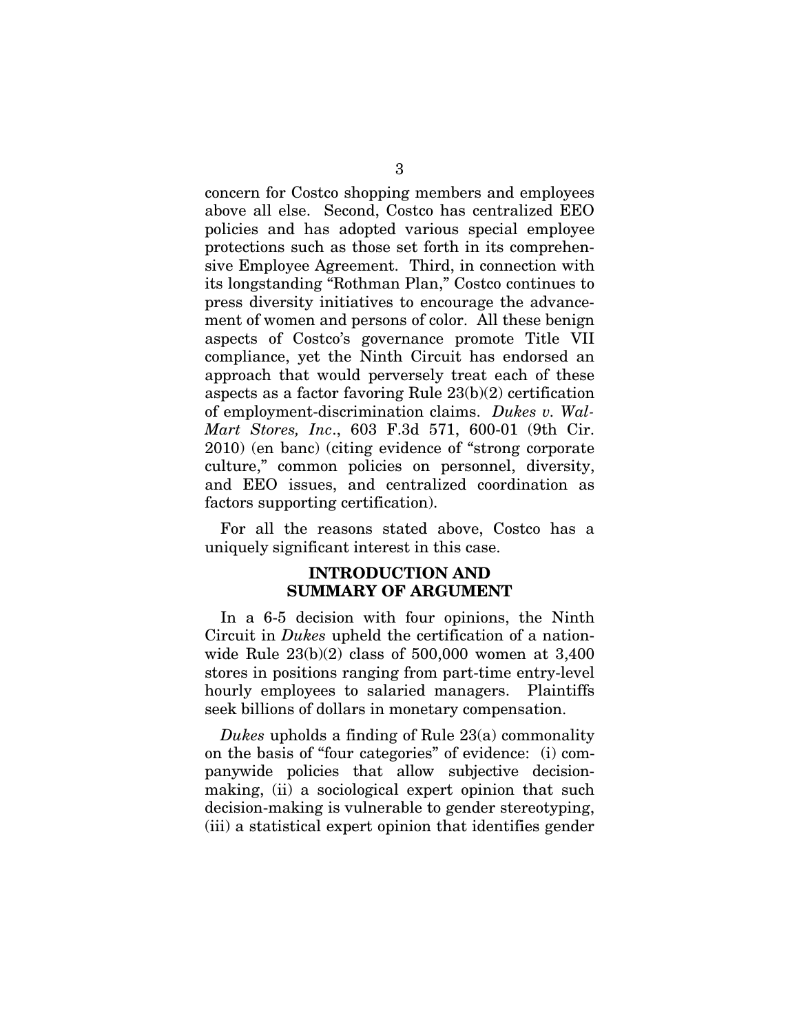concern for Costco shopping members and employees above all else. Second, Costco has centralized EEO policies and has adopted various special employee protections such as those set forth in its comprehensive Employee Agreement. Third, in connection with its longstanding "Rothman Plan," Costco continues to press diversity initiatives to encourage the advancement of women and persons of color. All these benign aspects of Costco's governance promote Title VII compliance, yet the Ninth Circuit has endorsed an approach that would perversely treat each of these aspects as a factor favoring Rule 23(b)(2) certification of employment-discrimination claims. *Dukes v. Wal-Mart Stores, Inc*., 603 F.3d 571, 600-01 (9th Cir. 2010) (en banc) (citing evidence of "strong corporate culture," common policies on personnel, diversity, and EEO issues, and centralized coordination as factors supporting certification).

For all the reasons stated above, Costco has a uniquely significant interest in this case.

### **INTRODUCTION AND SUMMARY OF ARGUMENT**

In a 6-5 decision with four opinions, the Ninth Circuit in *Dukes* upheld the certification of a nationwide Rule 23(b)(2) class of 500,000 women at 3,400 stores in positions ranging from part-time entry-level hourly employees to salaried managers. Plaintiffs seek billions of dollars in monetary compensation.

*Dukes* upholds a finding of Rule 23(a) commonality on the basis of "four categories" of evidence: (i) companywide policies that allow subjective decisionmaking, (ii) a sociological expert opinion that such decision-making is vulnerable to gender stereotyping, (iii) a statistical expert opinion that identifies gender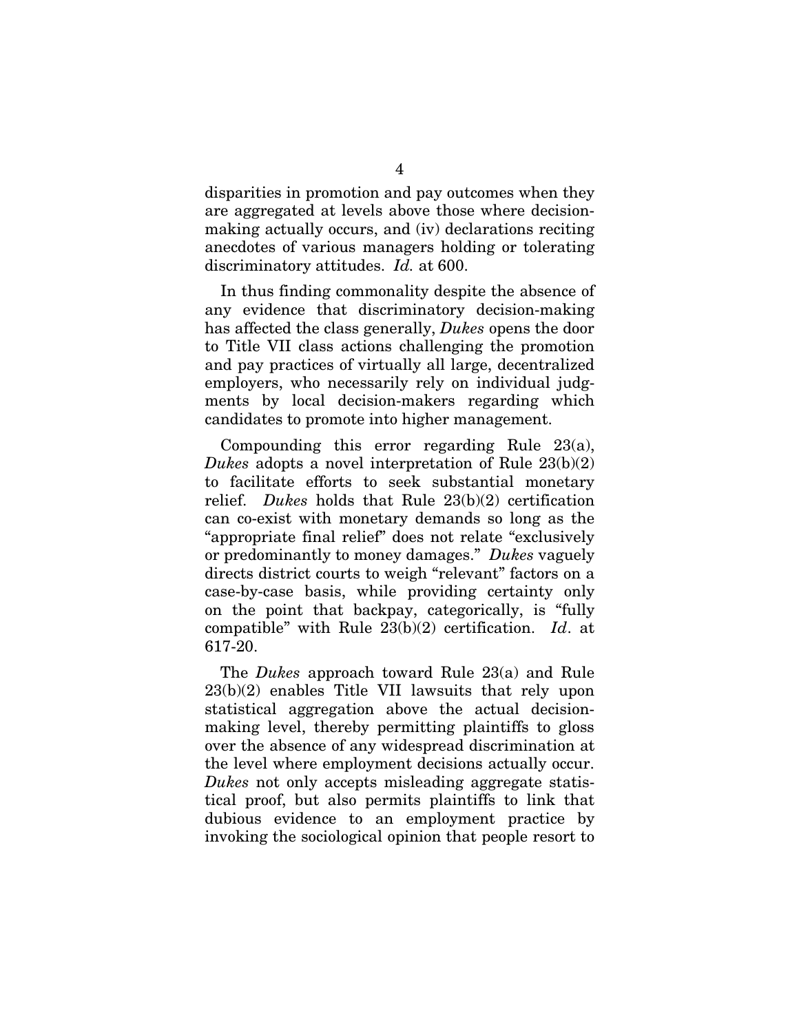disparities in promotion and pay outcomes when they are aggregated at levels above those where decisionmaking actually occurs, and (iv) declarations reciting anecdotes of various managers holding or tolerating discriminatory attitudes. *Id.* at 600.

In thus finding commonality despite the absence of any evidence that discriminatory decision-making has affected the class generally, *Dukes* opens the door to Title VII class actions challenging the promotion and pay practices of virtually all large, decentralized employers, who necessarily rely on individual judgments by local decision-makers regarding which candidates to promote into higher management.

Compounding this error regarding Rule 23(a), *Dukes* adopts a novel interpretation of Rule 23(b)(2) to facilitate efforts to seek substantial monetary relief. *Dukes* holds that Rule 23(b)(2) certification can co-exist with monetary demands so long as the "appropriate final relief" does not relate "exclusively or predominantly to money damages." *Dukes* vaguely directs district courts to weigh "relevant" factors on a case-by-case basis, while providing certainty only on the point that backpay, categorically, is "fully compatible" with Rule 23(b)(2) certification. *Id*. at 617-20.

The *Dukes* approach toward Rule 23(a) and Rule 23(b)(2) enables Title VII lawsuits that rely upon statistical aggregation above the actual decisionmaking level, thereby permitting plaintiffs to gloss over the absence of any widespread discrimination at the level where employment decisions actually occur. *Dukes* not only accepts misleading aggregate statistical proof, but also permits plaintiffs to link that dubious evidence to an employment practice by invoking the sociological opinion that people resort to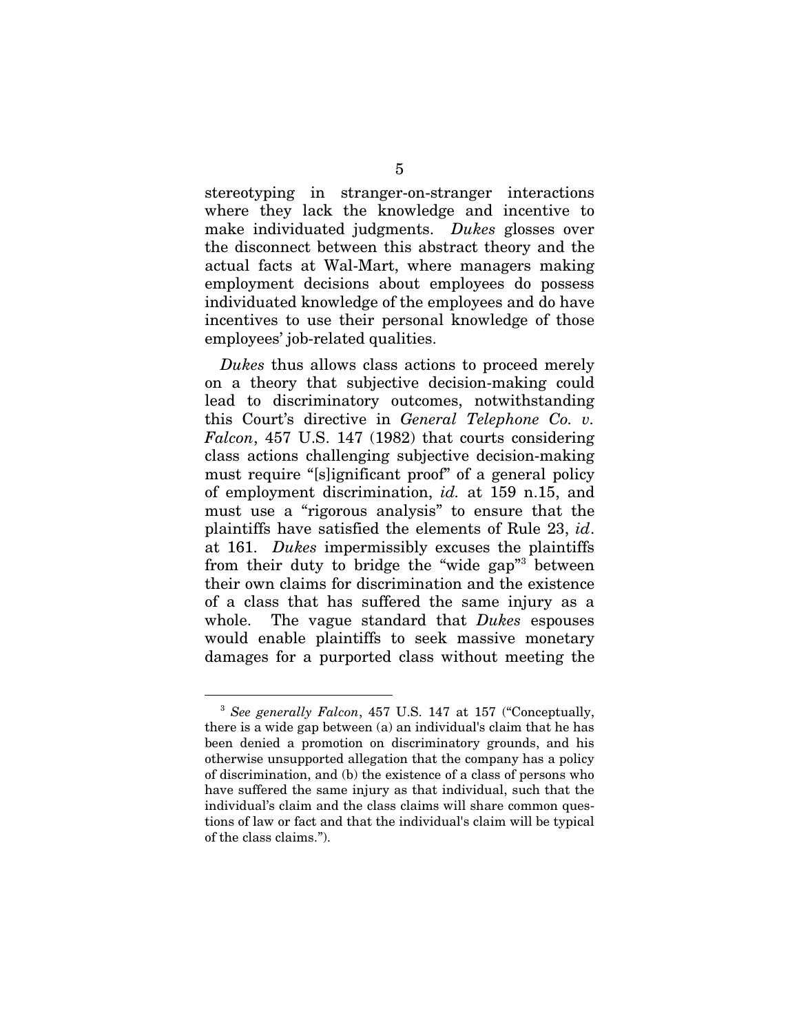stereotyping in stranger-on-stranger interactions where they lack the knowledge and incentive to make individuated judgments. *Dukes* glosses over the disconnect between this abstract theory and the actual facts at Wal-Mart, where managers making employment decisions about employees do possess individuated knowledge of the employees and do have incentives to use their personal knowledge of those employees' job-related qualities.

*Dukes* thus allows class actions to proceed merely on a theory that subjective decision-making could lead to discriminatory outcomes, notwithstanding this Court's directive in *General Telephone Co. v. Falcon*, 457 U.S. 147 (1982) that courts considering class actions challenging subjective decision-making must require "[s]ignificant proof" of a general policy of employment discrimination, *id.* at 159 n.15, and must use a "rigorous analysis" to ensure that the plaintiffs have satisfied the elements of Rule 23, *id*. at 161. *Dukes* impermissibly excuses the plaintiffs from their duty to bridge the "wide gap" between their own claims for discrimination and the existence of a class that has suffered the same injury as a whole. The vague standard that *Dukes* espouses would enable plaintiffs to seek massive monetary damages for a purported class without meeting the

<span id="page-13-0"></span> <sup>3</sup> *See generally Falcon*, 457 U.S. 147 at 157 ("Conceptually, there is a wide gap between (a) an individual's claim that he has been denied a promotion on discriminatory grounds, and his otherwise unsupported allegation that the company has a policy of discrimination, and (b) the existence of a class of persons who have suffered the same injury as that individual, such that the individual's claim and the class claims will share common questions of law or fact and that the individual's claim will be typical of the class claims.").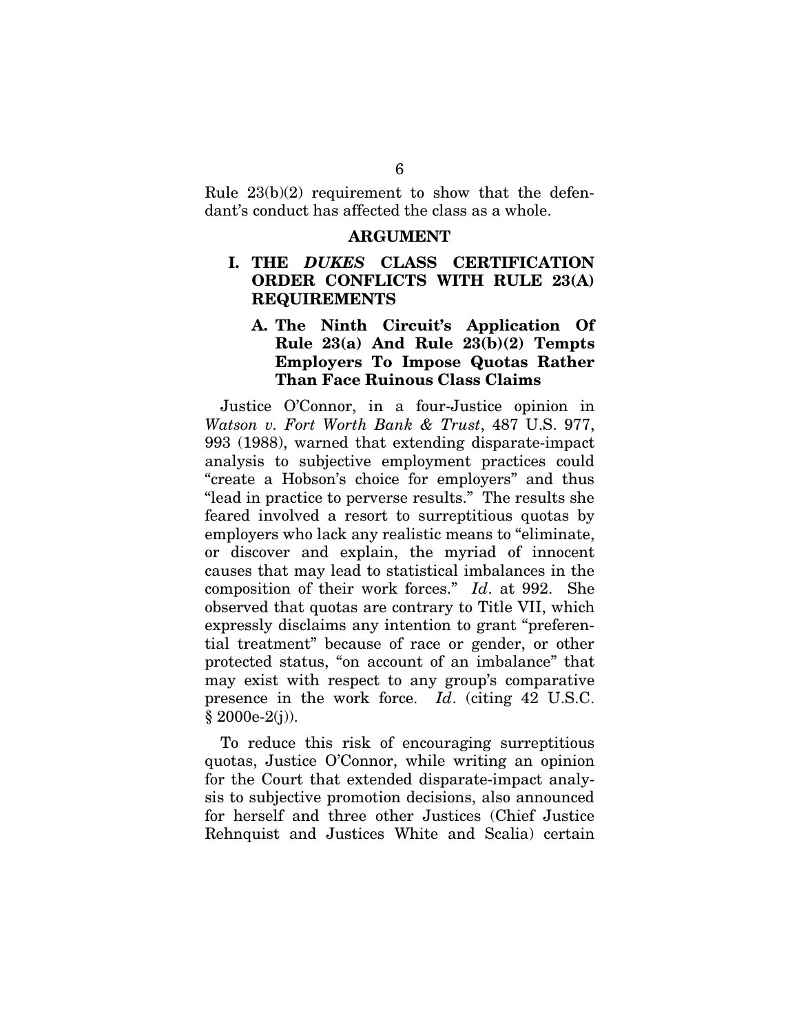Rule  $23(b)(2)$  requirement to show that the defendant's conduct has affected the class as a whole.

#### **ARGUMENT**

### **I. THE** *DUKES* **CLASS CERTIFICATION ORDER CONFLICTS WITH RULE 23(A) REQUIREMENTS**

### **A. The Ninth Circuit's Application Of Rule 23(a) And Rule 23(b)(2) Tempts Employers To Impose Quotas Rather Than Face Ruinous Class Claims**

Justice O'Connor, in a four-Justice opinion in *Watson v. Fort Worth Bank & Trust*, 487 U.S. 977, 993 (1988), warned that extending disparate-impact analysis to subjective employment practices could "create a Hobson's choice for employers" and thus "lead in practice to perverse results." The results she feared involved a resort to surreptitious quotas by employers who lack any realistic means to "eliminate, or discover and explain, the myriad of innocent causes that may lead to statistical imbalances in the composition of their work forces." *Id*. at 992. She observed that quotas are contrary to Title VII, which expressly disclaims any intention to grant "preferential treatment" because of race or gender, or other protected status, "on account of an imbalance" that may exist with respect to any group's comparative presence in the work force. *Id*. (citing 42 U.S.C.  $§ 2000e-2(j)$ .

To reduce this risk of encouraging surreptitious quotas, Justice O'Connor, while writing an opinion for the Court that extended disparate-impact analysis to subjective promotion decisions, also announced for herself and three other Justices (Chief Justice Rehnquist and Justices White and Scalia) certain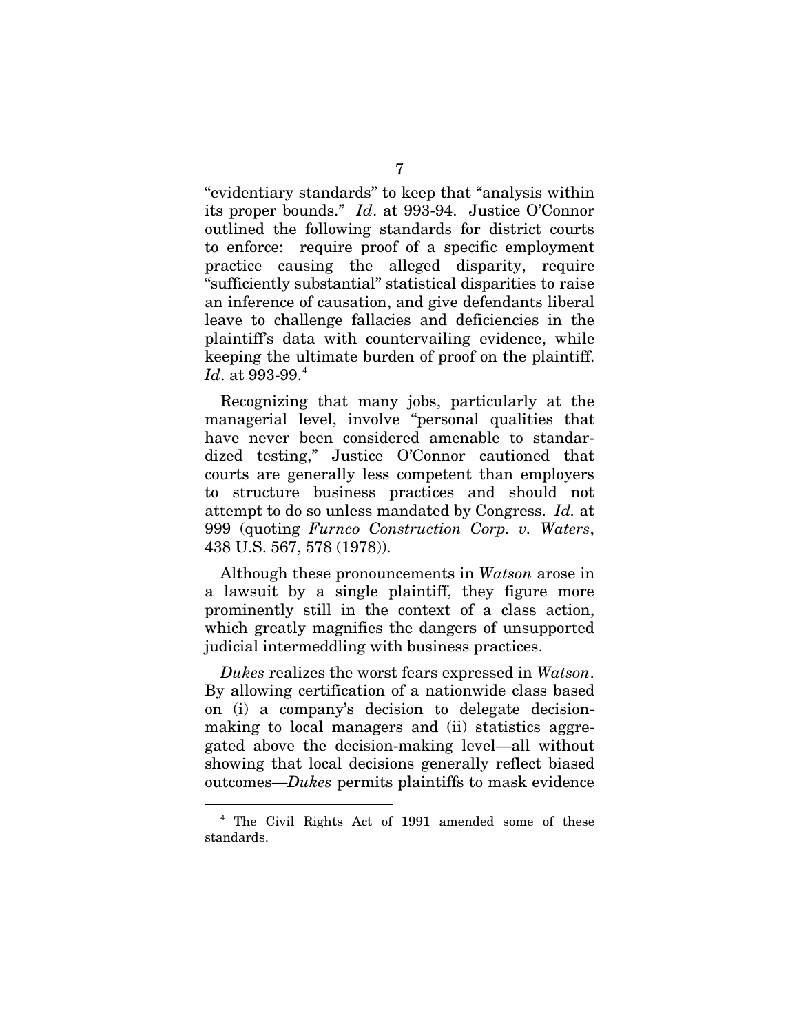"evidentiary standards" to keep that "analysis within its proper bounds." *Id*. at 993-94. Justice O'Connor outlined the following standards for district courts to enforce: require proof of a specific employment practice causing the alleged disparity, require "sufficiently substantial" statistical disparities to raise an inference of causation, and give defendants liberal leave to challenge fallacies and deficiencies in the plaintiff's data with countervailing evidence, while keeping the ultimate burden of proof on the plaintiff. *Id.* at 993-99.<sup>[4](#page-15-0)</sup>

Recognizing that many jobs, particularly at the managerial level, involve "personal qualities that have never been considered amenable to standardized testing," Justice O'Connor cautioned that courts are generally less competent than employers to structure business practices and should not attempt to do so unless mandated by Congress. *Id.* at 999 (quoting *Furnco Construction Corp. v. Waters*, 438 U.S. 567, 578 (1978)).

Although these pronouncements in *Watson* arose in a lawsuit by a single plaintiff, they figure more prominently still in the context of a class action, which greatly magnifies the dangers of unsupported judicial intermeddling with business practices.

*Dukes* realizes the worst fears expressed in *Watson*. By allowing certification of a nationwide class based on (i) a company's decision to delegate decisionmaking to local managers and (ii) statistics aggregated above the decision-making level—all without showing that local decisions generally reflect biased outcomes—*Dukes* permits plaintiffs to mask evidence

<span id="page-15-0"></span> <sup>4</sup> The Civil Rights Act of 1991 amended some of these standards.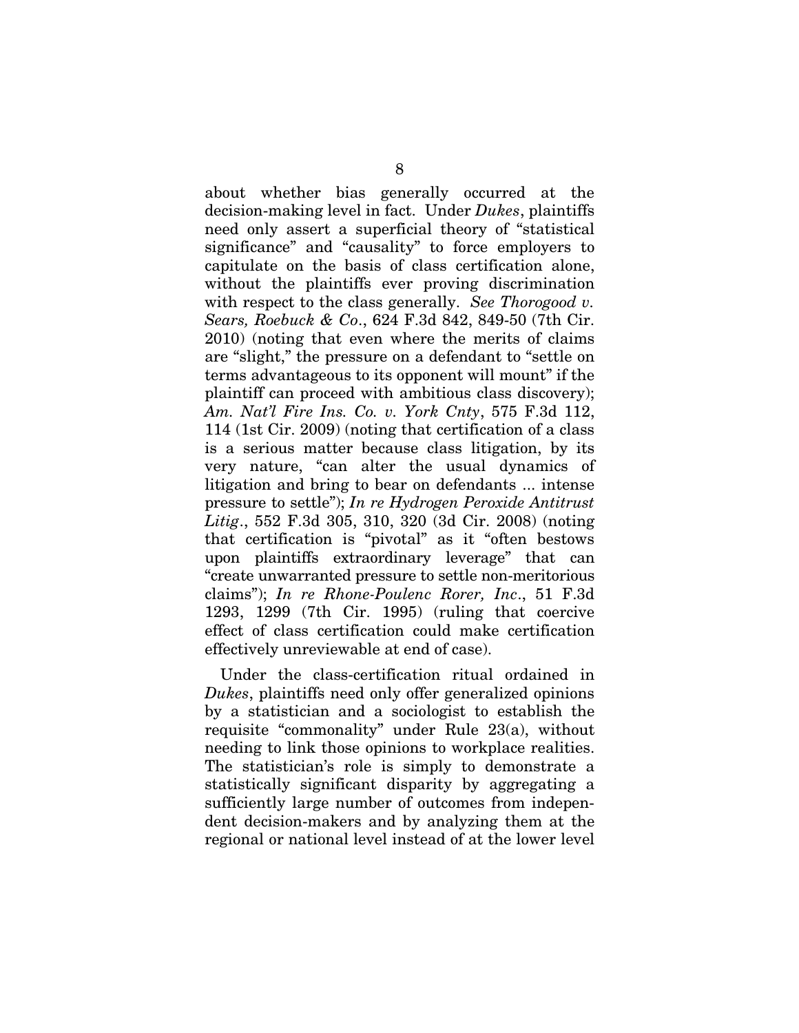about whether bias generally occurred at the decision-making level in fact. Under *Dukes*, plaintiffs need only assert a superficial theory of "statistical significance" and "causality" to force employers to capitulate on the basis of class certification alone, without the plaintiffs ever proving discrimination with respect to the class generally. *See Thorogood v. Sears, Roebuck & Co*., 624 F.3d 842, 849-50 (7th Cir. 2010) (noting that even where the merits of claims are "slight," the pressure on a defendant to "settle on terms advantageous to its opponent will mount" if the plaintiff can proceed with ambitious class discovery); *Am. Nat'l Fire Ins. Co. v. York Cnty*, 575 F.3d 112, 114 (1st Cir. 2009) (noting that certification of a class is a serious matter because class litigation, by its very nature, "can alter the usual dynamics of litigation and bring to bear on defendants ... intense pressure to settle"); *In re Hydrogen Peroxide Antitrust Litig*., 552 F.3d 305, 310, 320 (3d Cir. 2008) (noting that certification is "pivotal" as it "often bestows upon plaintiffs extraordinary leverage" that can "create unwarranted pressure to settle non-meritorious claims"); *In re Rhone-Poulenc Rorer, Inc*., 51 F.3d 1293, 1299 (7th Cir. 1995) (ruling that coercive effect of class certification could make certification effectively unreviewable at end of case).

Under the class-certification ritual ordained in *Dukes*, plaintiffs need only offer generalized opinions by a statistician and a sociologist to establish the requisite "commonality" under Rule 23(a), without needing to link those opinions to workplace realities. The statistician's role is simply to demonstrate a statistically significant disparity by aggregating a sufficiently large number of outcomes from independent decision-makers and by analyzing them at the regional or national level instead of at the lower level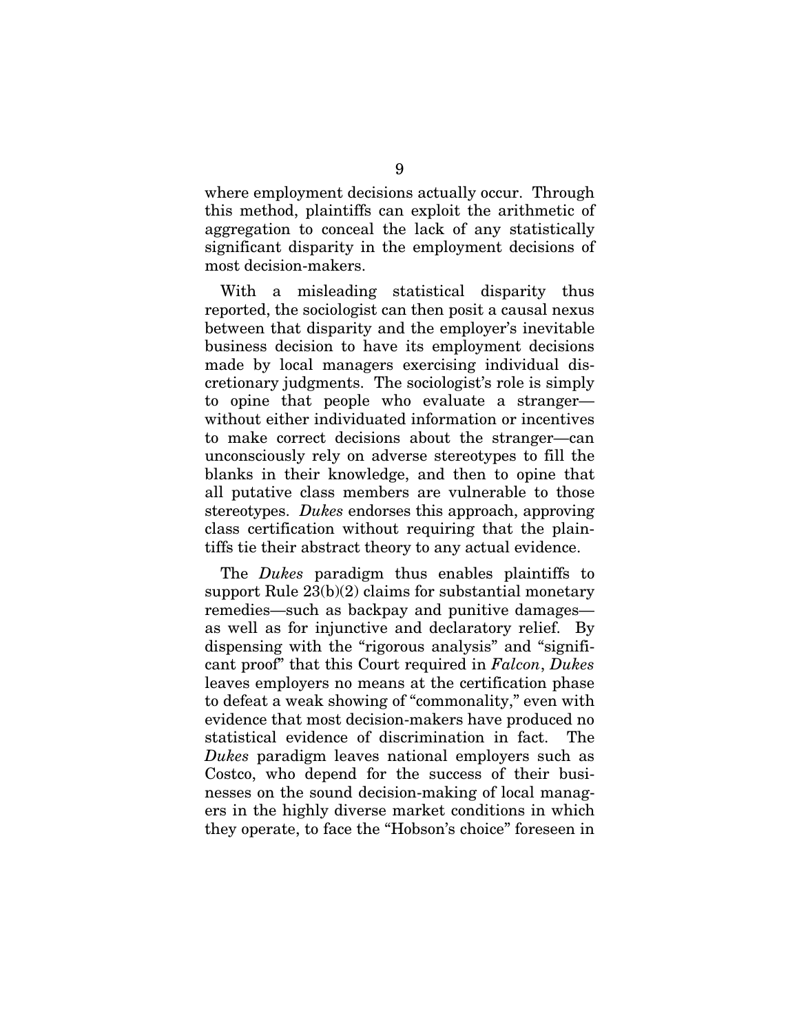where employment decisions actually occur. Through this method, plaintiffs can exploit the arithmetic of aggregation to conceal the lack of any statistically significant disparity in the employment decisions of most decision-makers.

With a misleading statistical disparity thus reported, the sociologist can then posit a causal nexus between that disparity and the employer's inevitable business decision to have its employment decisions made by local managers exercising individual discretionary judgments. The sociologist's role is simply to opine that people who evaluate a stranger without either individuated information or incentives to make correct decisions about the stranger—can unconsciously rely on adverse stereotypes to fill the blanks in their knowledge, and then to opine that all putative class members are vulnerable to those stereotypes. *Dukes* endorses this approach, approving class certification without requiring that the plaintiffs tie their abstract theory to any actual evidence.

The *Dukes* paradigm thus enables plaintiffs to support Rule 23(b)(2) claims for substantial monetary remedies—such as backpay and punitive damages as well as for injunctive and declaratory relief. By dispensing with the "rigorous analysis" and "significant proof" that this Court required in *Falcon*, *Dukes* leaves employers no means at the certification phase to defeat a weak showing of "commonality," even with evidence that most decision-makers have produced no statistical evidence of discrimination in fact. The *Dukes* paradigm leaves national employers such as Costco, who depend for the success of their businesses on the sound decision-making of local managers in the highly diverse market conditions in which they operate, to face the "Hobson's choice" foreseen in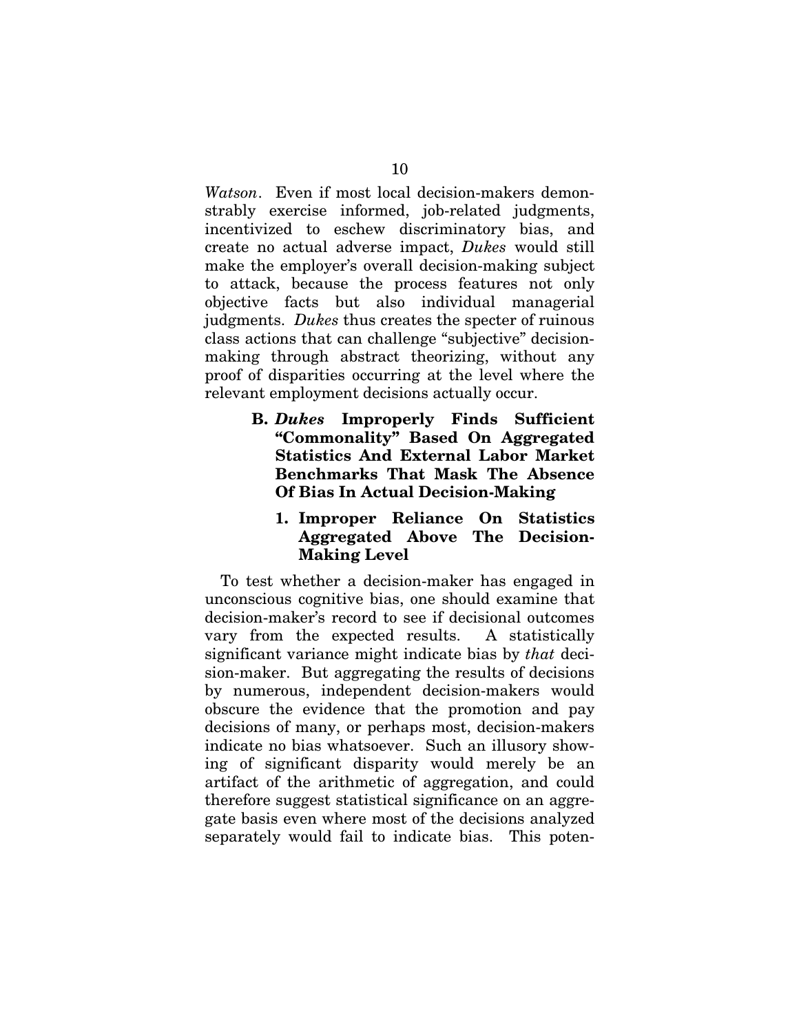*Watson*. Even if most local decision-makers demonstrably exercise informed, job-related judgments, incentivized to eschew discriminatory bias, and create no actual adverse impact, *Dukes* would still make the employer's overall decision-making subject to attack, because the process features not only objective facts but also individual managerial judgments. *Dukes* thus creates the specter of ruinous class actions that can challenge "subjective" decisionmaking through abstract theorizing, without any proof of disparities occurring at the level where the relevant employment decisions actually occur.

> **B.** *Dukes* **Improperly Finds Sufficient "Commonality" Based On Aggregated Statistics And External Labor Market Benchmarks That Mask The Absence Of Bias In Actual Decision-Making**

### **1. Improper Reliance On Statistics Aggregated Above The Decision-Making Level**

To test whether a decision-maker has engaged in unconscious cognitive bias, one should examine that decision-maker's record to see if decisional outcomes vary from the expected results. A statistically significant variance might indicate bias by *that* decision-maker. But aggregating the results of decisions by numerous, independent decision-makers would obscure the evidence that the promotion and pay decisions of many, or perhaps most, decision-makers indicate no bias whatsoever. Such an illusory showing of significant disparity would merely be an artifact of the arithmetic of aggregation, and could therefore suggest statistical significance on an aggregate basis even where most of the decisions analyzed separately would fail to indicate bias. This poten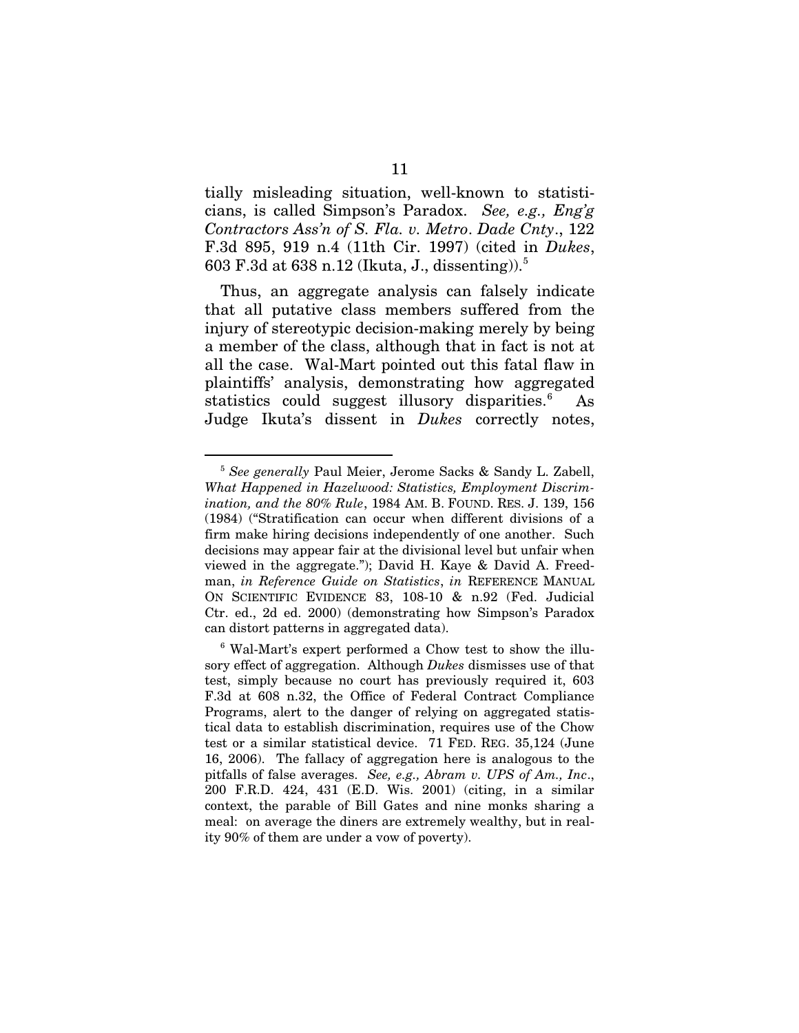tially misleading situation, well-known to statisticians, is called Simpson's Paradox. *See, e.g., Eng'g Contractors Ass'n of S. Fla. v. Metro*. *Dade Cnty*., 122 F.3d 895, 919 n.4 (11th Cir. 1997) (cited in *Dukes*, 603 F.3d at 638 n.12 (Ikuta, J., dissenting)).<sup>[5](#page-19-0)</sup>

Thus, an aggregate analysis can falsely indicate that all putative class members suffered from the injury of stereotypic decision-making merely by being a member of the class, although that in fact is not at all the case. Wal-Mart pointed out this fatal flaw in plaintiffs' analysis, demonstrating how aggregated statistics could suggest illusory disparities.<sup>[6](#page-19-1)</sup> As Judge Ikuta's dissent in *Dukes* correctly notes,

<span id="page-19-0"></span> <sup>5</sup> *See generally* Paul Meier, Jerome Sacks & Sandy L. Zabell, *What Happened in Hazelwood: Statistics, Employment Discrimination, and the 80% Rule*, 1984 AM. B. FOUND. RES. J. 139, 156 (1984) ("Stratification can occur when different divisions of a firm make hiring decisions independently of one another. Such decisions may appear fair at the divisional level but unfair when viewed in the aggregate."); David H. Kaye & David A. Freedman, *in Reference Guide on Statistics*, *in* REFERENCE MANUAL ON SCIENTIFIC EVIDENCE 83, 108-10 & n.92 (Fed. Judicial Ctr. ed., 2d ed. 2000) (demonstrating how Simpson's Paradox can distort patterns in aggregated data).

<span id="page-19-1"></span><sup>6</sup> Wal-Mart's expert performed a Chow test to show the illusory effect of aggregation. Although *Dukes* dismisses use of that test, simply because no court has previously required it, 603 F.3d at 608 n.32, the Office of Federal Contract Compliance Programs, alert to the danger of relying on aggregated statistical data to establish discrimination, requires use of the Chow test or a similar statistical device. 71 FED. REG. 35,124 (June 16, 2006). The fallacy of aggregation here is analogous to the pitfalls of false averages. *See, e.g., Abram v. UPS of Am., Inc*., 200 F.R.D. 424, 431 (E.D. Wis. 2001) (citing, in a similar context, the parable of Bill Gates and nine monks sharing a meal: on average the diners are extremely wealthy, but in reality 90% of them are under a vow of poverty).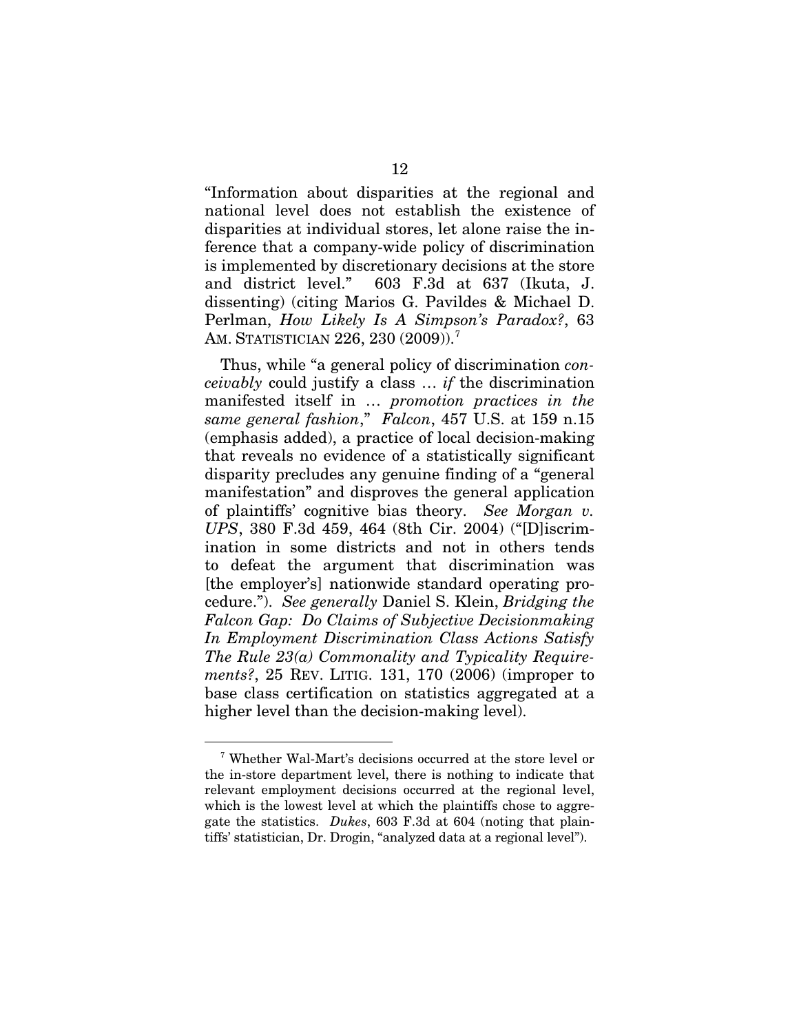"Information about disparities at the regional and national level does not establish the existence of disparities at individual stores, let alone raise the inference that a company-wide policy of discrimination is implemented by discretionary decisions at the store and district level." 603 F.3d at 637 (Ikuta, J. dissenting) (citing Marios G. Pavildes & Michael D. Perlman, *How Likely Is A Simpson's Paradox?*, 63 AM. STATISTICIAN 226, 230 (2009)).<sup>[7](#page-20-0)</sup>

Thus, while "a general policy of discrimination *conceivably* could justify a class … *if* the discrimination manifested itself in … *promotion practices in the same general fashion*," *Falcon*, 457 U.S. at 159 n.15 (emphasis added), a practice of local decision-making that reveals no evidence of a statistically significant disparity precludes any genuine finding of a "general manifestation" and disproves the general application of plaintiffs' cognitive bias theory. *See Morgan v. UPS*, 380 F.3d 459, 464 (8th Cir. 2004) ("[D]iscrimination in some districts and not in others tends to defeat the argument that discrimination was [the employer's] nationwide standard operating procedure."). *See generally* Daniel S. Klein, *Bridging the Falcon Gap: Do Claims of Subjective Decisionmaking In Employment Discrimination Class Actions Satisfy The Rule 23(a) Commonality and Typicality Requirements?*, 25 REV. LITIG. 131, 170 (2006) (improper to base class certification on statistics aggregated at a higher level than the decision-making level).

<span id="page-20-0"></span> <sup>7</sup> Whether Wal-Mart's decisions occurred at the store level or the in-store department level, there is nothing to indicate that relevant employment decisions occurred at the regional level, which is the lowest level at which the plaintiffs chose to aggregate the statistics. *Dukes*, 603 F.3d at 604 (noting that plaintiffs' statistician, Dr. Drogin, "analyzed data at a regional level").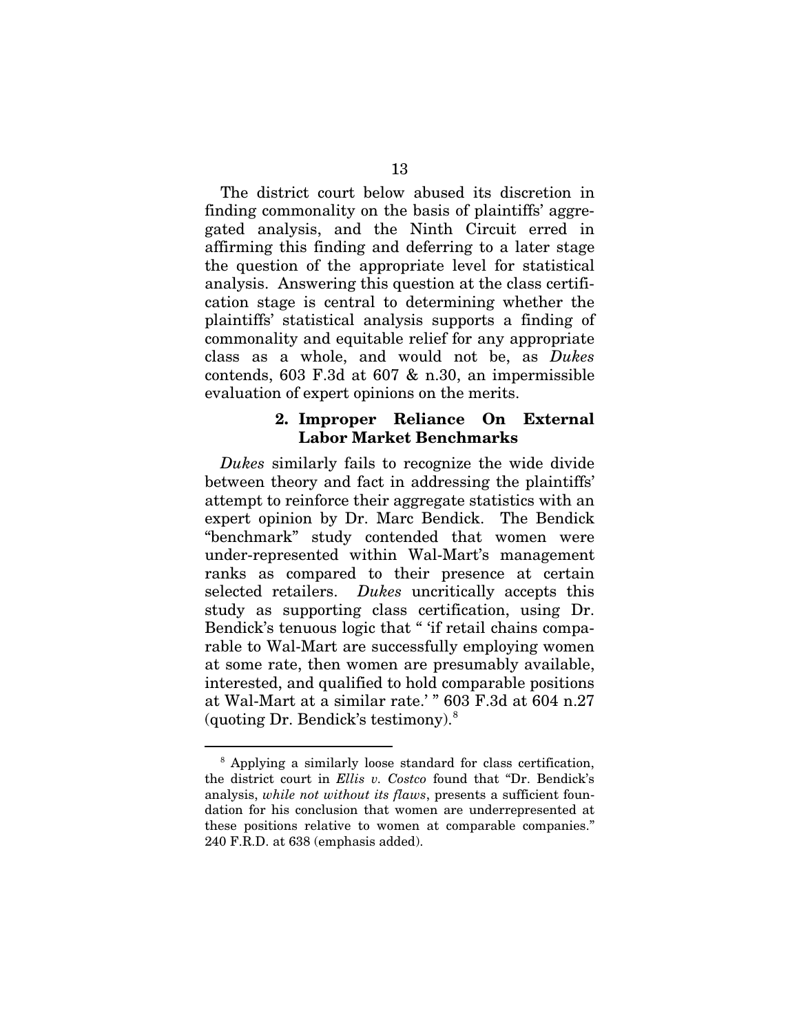The district court below abused its discretion in finding commonality on the basis of plaintiffs' aggregated analysis, and the Ninth Circuit erred in affirming this finding and deferring to a later stage the question of the appropriate level for statistical analysis. Answering this question at the class certification stage is central to determining whether the plaintiffs' statistical analysis supports a finding of commonality and equitable relief for any appropriate class as a whole, and would not be, as *Dukes*  contends, 603 F.3d at 607 & n.30, an impermissible evaluation of expert opinions on the merits.

#### **2. Improper Reliance On External Labor Market Benchmarks**

*Dukes* similarly fails to recognize the wide divide between theory and fact in addressing the plaintiffs' attempt to reinforce their aggregate statistics with an expert opinion by Dr. Marc Bendick. The Bendick "benchmark" study contended that women were under-represented within Wal-Mart's management ranks as compared to their presence at certain selected retailers. *Dukes* uncritically accepts this study as supporting class certification, using Dr. Bendick's tenuous logic that " 'if retail chains comparable to Wal-Mart are successfully employing women at some rate, then women are presumably available, interested, and qualified to hold comparable positions at Wal-Mart at a similar rate.' " 603 F.3d at 604 n.27 (quoting Dr. Bendick's testimony). $8$ 

<span id="page-21-0"></span> <sup>8</sup> Applying a similarly loose standard for class certification, the district court in *Ellis v. Costco* found that "Dr. Bendick's analysis, *while not without its flaws*, presents a sufficient foundation for his conclusion that women are underrepresented at these positions relative to women at comparable companies." 240 F.R.D. at 638 (emphasis added).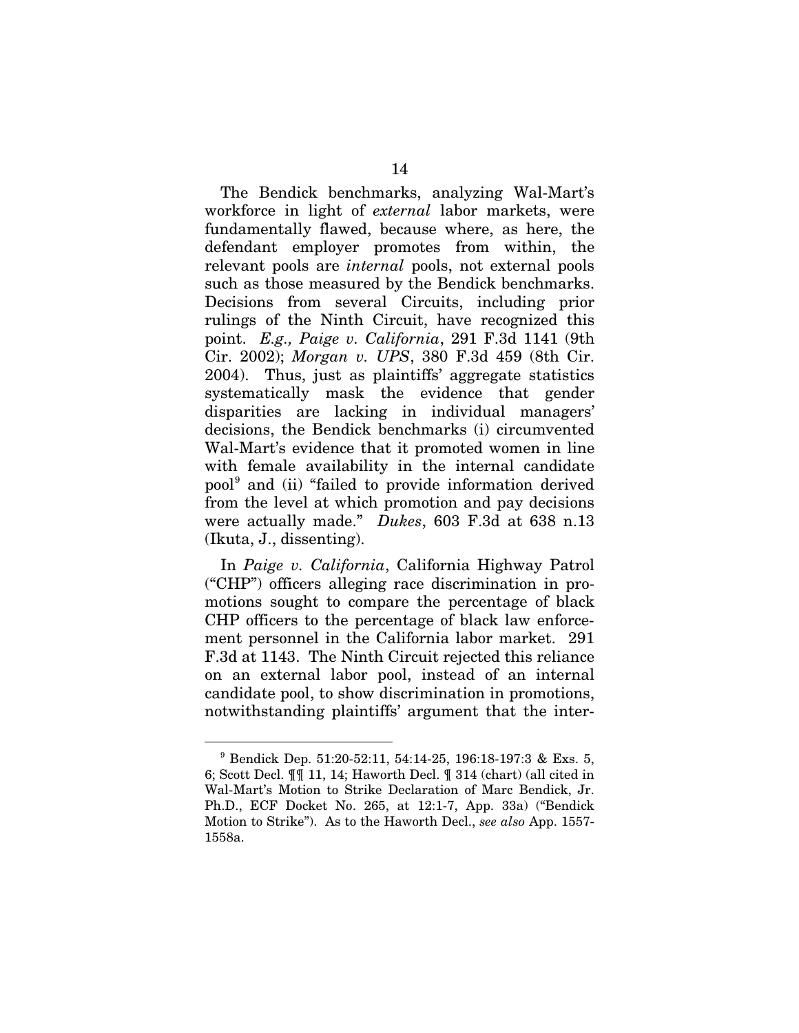The Bendick benchmarks, analyzing Wal-Mart's workforce in light of *external* labor markets, were fundamentally flawed, because where, as here, the defendant employer promotes from within, the relevant pools are *internal* pools, not external pools such as those measured by the Bendick benchmarks. Decisions from several Circuits, including prior rulings of the Ninth Circuit, have recognized this point. *E.g., Paige v. California*, 291 F.3d 1141 (9th Cir. 2002); *Morgan v. UPS*, 380 F.3d 459 (8th Cir. 2004). Thus, just as plaintiffs' aggregate statistics systematically mask the evidence that gender disparities are lacking in individual managers' decisions, the Bendick benchmarks (i) circumvented Wal-Mart's evidence that it promoted women in line with female availability in the internal candidate pool<sup>[9](#page-22-0)</sup> and (ii) "failed to provide information derived from the level at which promotion and pay decisions were actually made." *Dukes*, 603 F.3d at 638 n.13 (Ikuta, J., dissenting).

In *Paige v. California*, California Highway Patrol ("CHP") officers alleging race discrimination in promotions sought to compare the percentage of black CHP officers to the percentage of black law enforcement personnel in the California labor market. 291 F.3d at 1143. The Ninth Circuit rejected this reliance on an external labor pool, instead of an internal candidate pool, to show discrimination in promotions, notwithstanding plaintiffs' argument that the inter-

<span id="page-22-0"></span> <sup>9</sup> Bendick Dep. 51:20-52:11, 54:14-25, 196:18-197:3 & Exs. 5, 6; Scott Decl. ¶¶ 11, 14; Haworth Decl. ¶ 314 (chart) (all cited in Wal-Mart's Motion to Strike Declaration of Marc Bendick, Jr. Ph.D., ECF Docket No. 265, at 12:1-7, App. 33a) ("Bendick Motion to Strike"). As to the Haworth Decl., *see also* App. 1557- 1558a.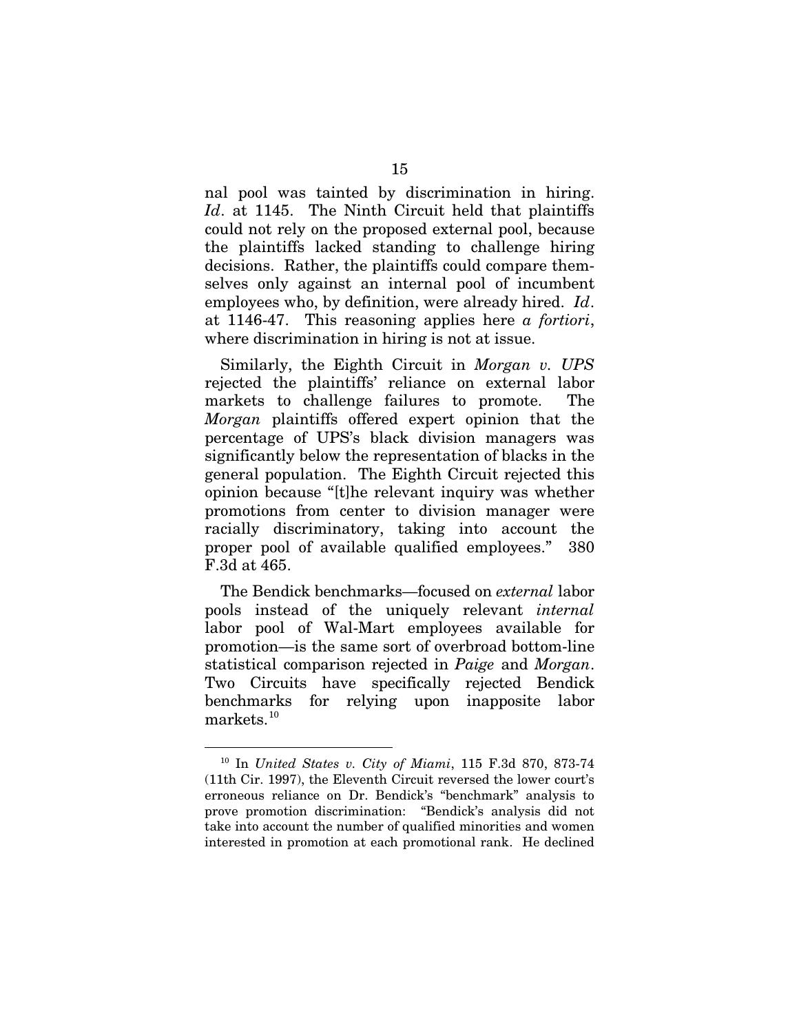nal pool was tainted by discrimination in hiring. *Id*. at 1145. The Ninth Circuit held that plaintiffs could not rely on the proposed external pool, because the plaintiffs lacked standing to challenge hiring decisions. Rather, the plaintiffs could compare themselves only against an internal pool of incumbent employees who, by definition, were already hired. *Id*. at 1146-47. This reasoning applies here *a fortiori*, where discrimination in hiring is not at issue.

Similarly, the Eighth Circuit in *Morgan v. UPS* rejected the plaintiffs' reliance on external labor markets to challenge failures to promote. The *Morgan* plaintiffs offered expert opinion that the percentage of UPS's black division managers was significantly below the representation of blacks in the general population. The Eighth Circuit rejected this opinion because "[t]he relevant inquiry was whether promotions from center to division manager were racially discriminatory, taking into account the proper pool of available qualified employees." 380 F.3d at 465.

The Bendick benchmarks—focused on *external* labor pools instead of the uniquely relevant *internal* labor pool of Wal-Mart employees available for promotion—is the same sort of overbroad bottom-line statistical comparison rejected in *Paige* and *Morgan*. Two Circuits have specifically rejected Bendick benchmarks for relying upon inapposite labor  $\rm{marks.}^{10}$  $\rm{marks.}^{10}$  $\rm{marks.}^{10}$ 

<span id="page-23-0"></span> <sup>10</sup> In *United States v. City of Miami*, 115 F.3d 870, 873-74 (11th Cir. 1997), the Eleventh Circuit reversed the lower court's erroneous reliance on Dr. Bendick's "benchmark" analysis to prove promotion discrimination: "Bendick's analysis did not take into account the number of qualified minorities and women interested in promotion at each promotional rank. He declined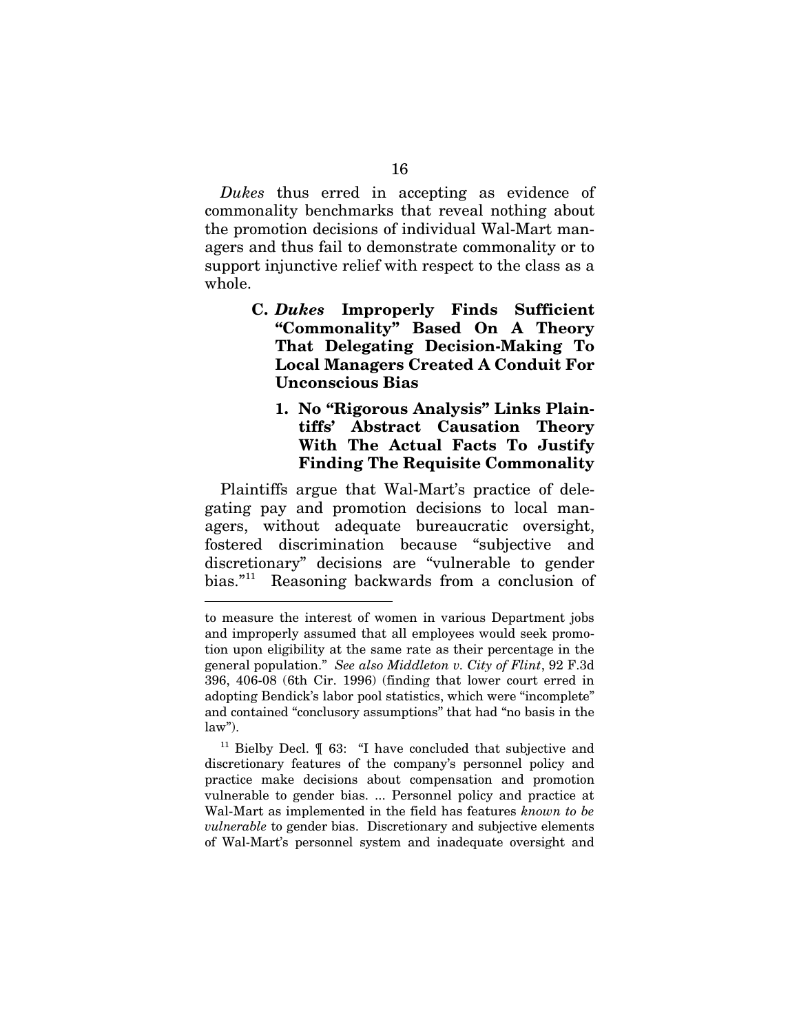*Dukes* thus erred in accepting as evidence of commonality benchmarks that reveal nothing about the promotion decisions of individual Wal-Mart managers and thus fail to demonstrate commonality or to support injunctive relief with respect to the class as a whole.

- **C.** *Dukes* **Improperly Finds Sufficient "Commonality" Based On A Theory That Delegating Decision-Making To Local Managers Created A Conduit For Unconscious Bias**
	- **1. No "Rigorous Analysis" Links Plaintiffs' Abstract Causation Theory With The Actual Facts To Justify Finding The Requisite Commonality**

Plaintiffs argue that Wal-Mart's practice of delegating pay and promotion decisions to local managers, without adequate bureaucratic oversight, fostered discrimination because "subjective and discretionary" decisions are "vulnerable to gender bias." [11](#page-24-0) Reasoning backwards from a conclusion of

-

<span id="page-24-0"></span><sup>11</sup> Bielby Decl.  $\mathcal T$  63: "I have concluded that subjective and discretionary features of the company's personnel policy and practice make decisions about compensation and promotion vulnerable to gender bias. ... Personnel policy and practice at Wal-Mart as implemented in the field has features *known to be vulnerable* to gender bias. Discretionary and subjective elements of Wal-Mart's personnel system and inadequate oversight and

to measure the interest of women in various Department jobs and improperly assumed that all employees would seek promotion upon eligibility at the same rate as their percentage in the general population." *See also Middleton v. City of Flint*, 92 F.3d 396, 406-08 (6th Cir. 1996) (finding that lower court erred in adopting Bendick's labor pool statistics, which were "incomplete" and contained "conclusory assumptions" that had "no basis in the law").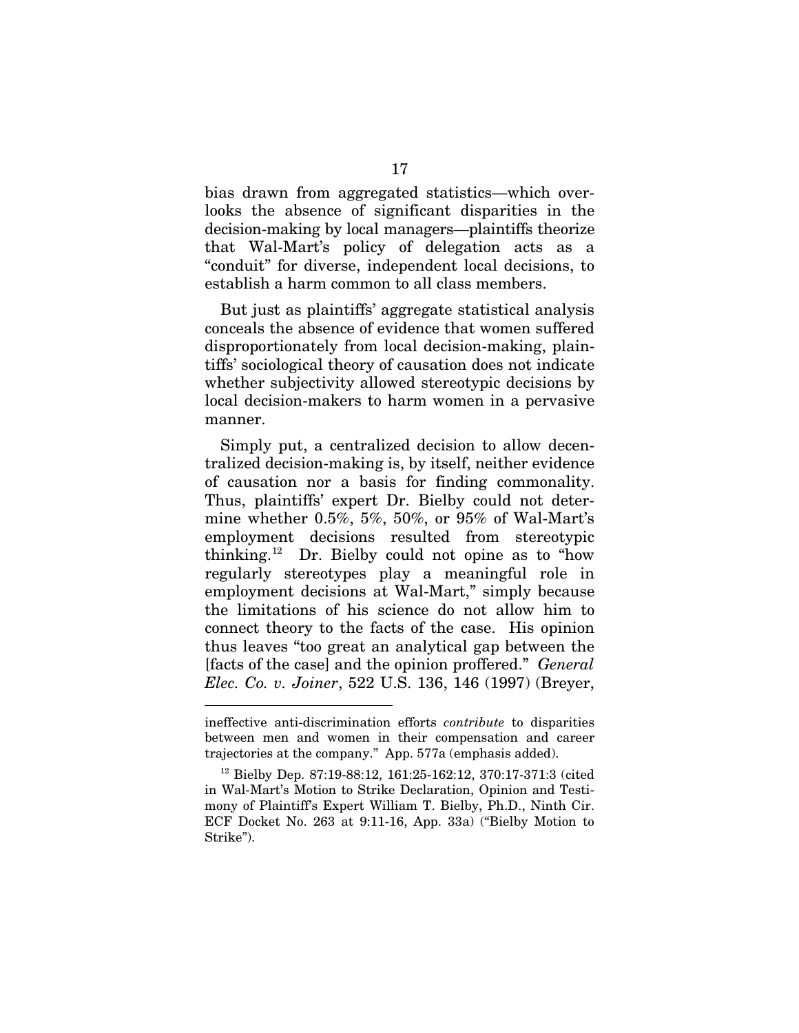bias drawn from aggregated statistics—which overlooks the absence of significant disparities in the decision-making by local managers—plaintiffs theorize that Wal-Mart's policy of delegation acts as a "conduit" for diverse, independent local decisions, to establish a harm common to all class members.

But just as plaintiffs' aggregate statistical analysis conceals the absence of evidence that women suffered disproportionately from local decision-making, plaintiffs' sociological theory of causation does not indicate whether subjectivity allowed stereotypic decisions by local decision-makers to harm women in a pervasive manner.

Simply put, a centralized decision to allow decentralized decision-making is, by itself, neither evidence of causation nor a basis for finding commonality. Thus, plaintiffs' expert Dr. Bielby could not determine whether 0.5%, 5%, 50%, or 95% of Wal-Mart's employment decisions resulted from stereotypic thinking.[12](#page-25-0) Dr. Bielby could not opine as to "how regularly stereotypes play a meaningful role in employment decisions at Wal-Mart," simply because the limitations of his science do not allow him to connect theory to the facts of the case. His opinion thus leaves "too great an analytical gap between the [facts of the case] and the opinion proffered." *General Elec. Co. v. Joiner*, 522 U.S. 136, 146 (1997) (Breyer,

-

ineffective anti-discrimination efforts *contribute* to disparities between men and women in their compensation and career trajectories at the company." App. 577a (emphasis added).

<span id="page-25-0"></span> $12$  Bielby Dep. 87:19-88:12, 161:25-162:12, 370:17-371:3 (cited in Wal-Mart's Motion to Strike Declaration, Opinion and Testimony of Plaintiff's Expert William T. Bielby, Ph.D., Ninth Cir. ECF Docket No. 263 at 9:11-16, App. 33a) ("Bielby Motion to Strike").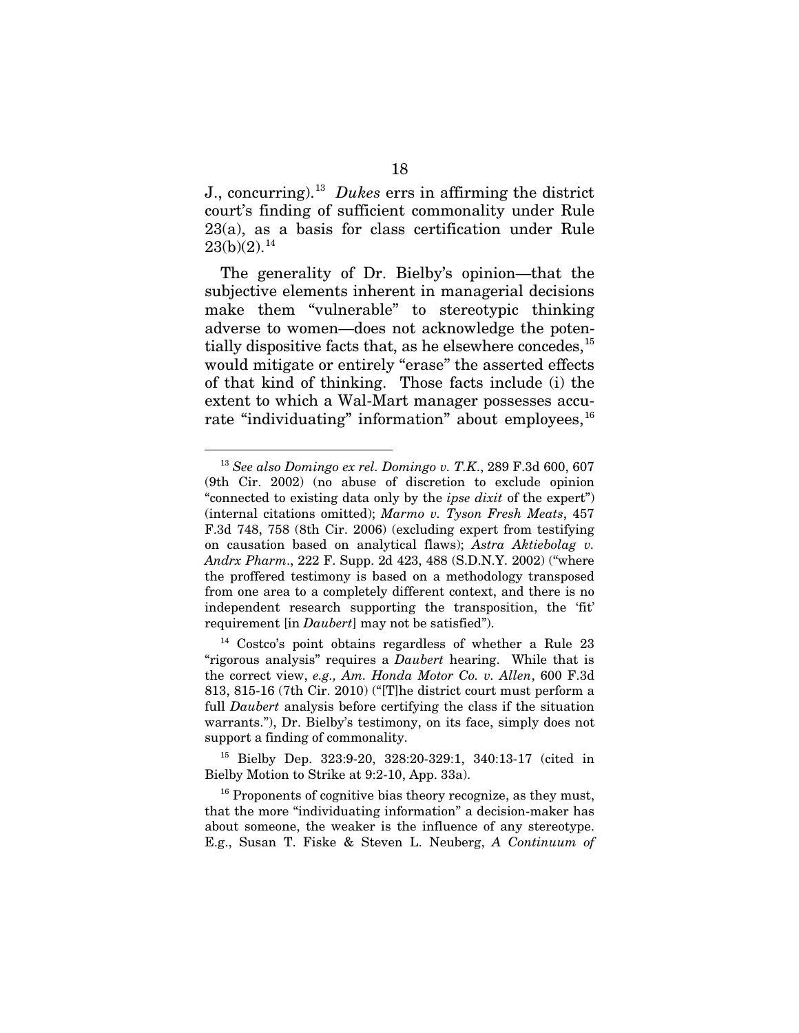J., concurring).[13](#page-26-0) *Dukes* errs in affirming the district court's finding of sufficient commonality under Rule 23(a), as a basis for class certification under Rule  $23(b)(2).<sup>14</sup>$  $23(b)(2).<sup>14</sup>$  $23(b)(2).<sup>14</sup>$ 

The generality of Dr. Bielby's opinion—that the subjective elements inherent in managerial decisions make them "vulnerable" to stereotypic thinking adverse to women—does not acknowledge the potentially dispositive facts that, as he elsewhere concedes,  $^{15}$  $^{15}$  $^{15}$ would mitigate or entirely "erase" the asserted effects of that kind of thinking. Those facts include (i) the extent to which a Wal-Mart manager possesses accurate "individuating" information" about employees,  $16$ 

<span id="page-26-2"></span><sup>15</sup> Bielby Dep. 323:9-20, 328:20-329:1, 340:13-17 (cited in Bielby Motion to Strike at 9:2-10, App. 33a).

<span id="page-26-0"></span> <sup>13</sup> *See also Domingo ex rel. Domingo v. T.K*., 289 F.3d 600, 607 (9th Cir. 2002) (no abuse of discretion to exclude opinion "connected to existing data only by the *ipse dixit* of the expert") (internal citations omitted); *Marmo v. Tyson Fresh Meats*, 457 F.3d 748, 758 (8th Cir. 2006) (excluding expert from testifying on causation based on analytical flaws); *Astra Aktiebolag v. Andrx Pharm*., 222 F. Supp. 2d 423, 488 (S.D.N.Y. 2002) ("where the proffered testimony is based on a methodology transposed from one area to a completely different context, and there is no independent research supporting the transposition, the 'fit' requirement [in *Daubert*] may not be satisfied").

<span id="page-26-1"></span> $14$  Costco's point obtains regardless of whether a Rule 23 "rigorous analysis" requires a *Daubert* hearing. While that is the correct view, *e.g., Am. Honda Motor Co. v. Allen*, 600 F.3d 813, 815-16 (7th Cir. 2010) ("[T]he district court must perform a full *Daubert* analysis before certifying the class if the situation warrants."), Dr. Bielby's testimony, on its face, simply does not support a finding of commonality.

<span id="page-26-3"></span><sup>&</sup>lt;sup>16</sup> Proponents of cognitive bias theory recognize, as they must, that the more "individuating information" a decision-maker has about someone, the weaker is the influence of any stereotype. E.g., Susan T. Fiske & Steven L. Neuberg, *A Continuum of*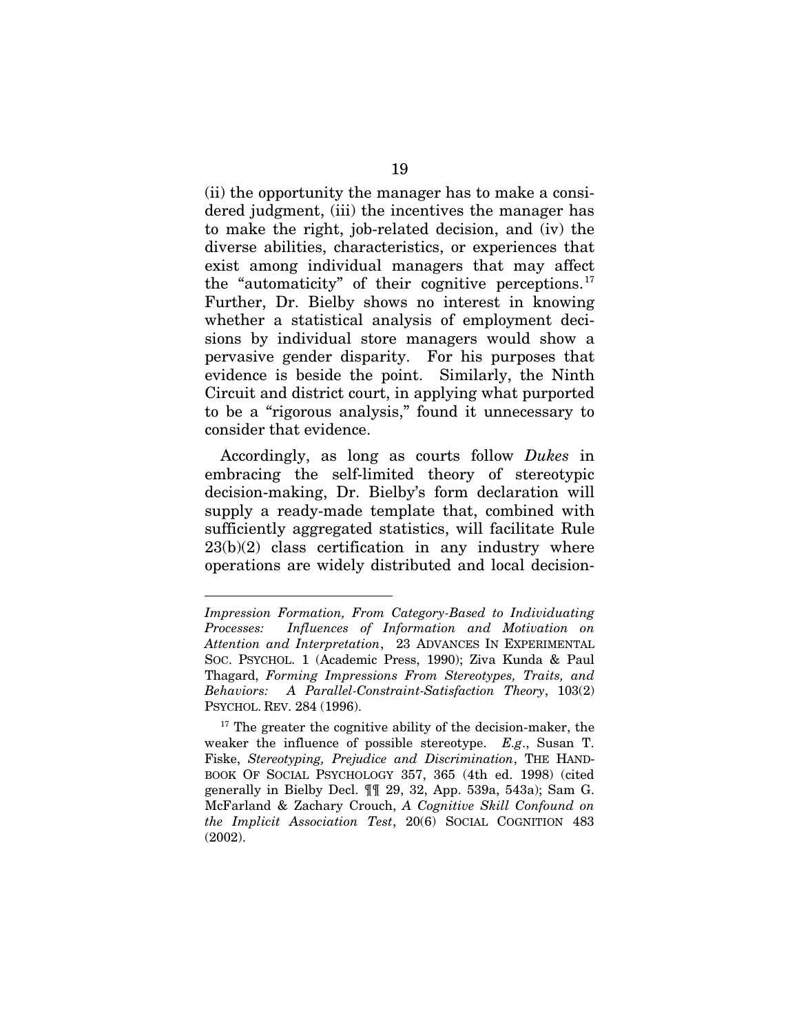(ii) the opportunity the manager has to make a considered judgment, (iii) the incentives the manager has to make the right, job-related decision, and (iv) the diverse abilities, characteristics, or experiences that exist among individual managers that may affect the "automaticity" of their cognitive perceptions. $17$ Further, Dr. Bielby shows no interest in knowing whether a statistical analysis of employment decisions by individual store managers would show a pervasive gender disparity. For his purposes that evidence is beside the point. Similarly, the Ninth Circuit and district court, in applying what purported to be a "rigorous analysis," found it unnecessary to consider that evidence.

Accordingly, as long as courts follow *Dukes* in embracing the self-limited theory of stereotypic decision-making, Dr. Bielby's form declaration will supply a ready-made template that, combined with sufficiently aggregated statistics, will facilitate Rule  $23(b)(2)$  class certification in any industry where operations are widely distributed and local decision-

-

*Impression Formation, From Category-Based to Individuating Processes: Influences of Information and Motivation on Attention and Interpretation*, 23 ADVANCES IN EXPERIMENTAL SOC. PSYCHOL. 1 (Academic Press, 1990); Ziva Kunda & Paul Thagard, *Forming Impressions From Stereotypes, Traits, and Behaviors: A Parallel-Constraint-Satisfaction Theory*, 103(2) PSYCHOL. REV. 284 (1996).

<span id="page-27-0"></span> $17$  The greater the cognitive ability of the decision-maker, the weaker the influence of possible stereotype. *E.g*., Susan T. Fiske, *Stereotyping, Prejudice and Discrimination*, THE HAND-BOOK OF SOCIAL PSYCHOLOGY 357, 365 (4th ed. 1998) (cited generally in Bielby Decl. ¶¶ 29, 32, App. 539a, 543a); Sam G. McFarland & Zachary Crouch, *A Cognitive Skill Confound on the Implicit Association Test*, 20(6) SOCIAL COGNITION 483 (2002).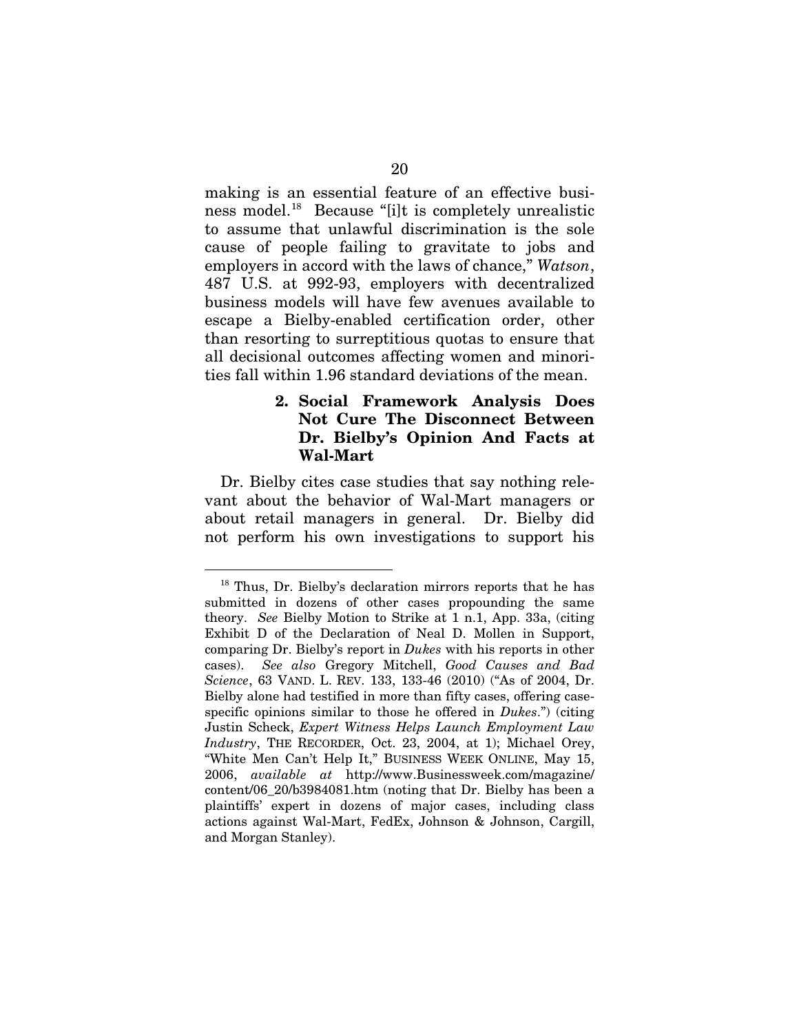making is an essential feature of an effective busi-ness model.<sup>[18](#page-28-0)</sup> Because "[i]t is completely unrealistic to assume that unlawful discrimination is the sole cause of people failing to gravitate to jobs and employers in accord with the laws of chance," *Watson*, 487 U.S. at 992-93, employers with decentralized business models will have few avenues available to escape a Bielby-enabled certification order, other than resorting to surreptitious quotas to ensure that all decisional outcomes affecting women and minorities fall within 1.96 standard deviations of the mean.

### **2. Social Framework Analysis Does Not Cure The Disconnect Between Dr. Bielby's Opinion And Facts at Wal-Mart**

Dr. Bielby cites case studies that say nothing relevant about the behavior of Wal-Mart managers or about retail managers in general. Dr. Bielby did not perform his own investigations to support his

<span id="page-28-0"></span><sup>&</sup>lt;sup>18</sup> Thus, Dr. Bielby's declaration mirrors reports that he has submitted in dozens of other cases propounding the same theory. *See* Bielby Motion to Strike at 1 n.1, App. 33a, (citing Exhibit D of the Declaration of Neal D. Mollen in Support, comparing Dr. Bielby's report in *Dukes* with his reports in other cases). *See also* Gregory Mitchell, *Good Causes and Bad Science*, 63 VAND. L. REV. 133, 133-46 (2010) ("As of 2004, Dr. Bielby alone had testified in more than fifty cases, offering casespecific opinions similar to those he offered in *Dukes*.") (citing Justin Scheck, *Expert Witness Helps Launch Employment Law Industry*, THE RECORDER, Oct. 23, 2004, at 1); Michael Orey, "White Men Can't Help It," BUSINESS WEEK ONLINE, May 15, 2006, *available at* http://www.Businessweek.com/magazine/ content/06\_20/b3984081.htm (noting that Dr. Bielby has been a plaintiffs' expert in dozens of major cases, including class actions against Wal-Mart, FedEx, Johnson & Johnson, Cargill, and Morgan Stanley).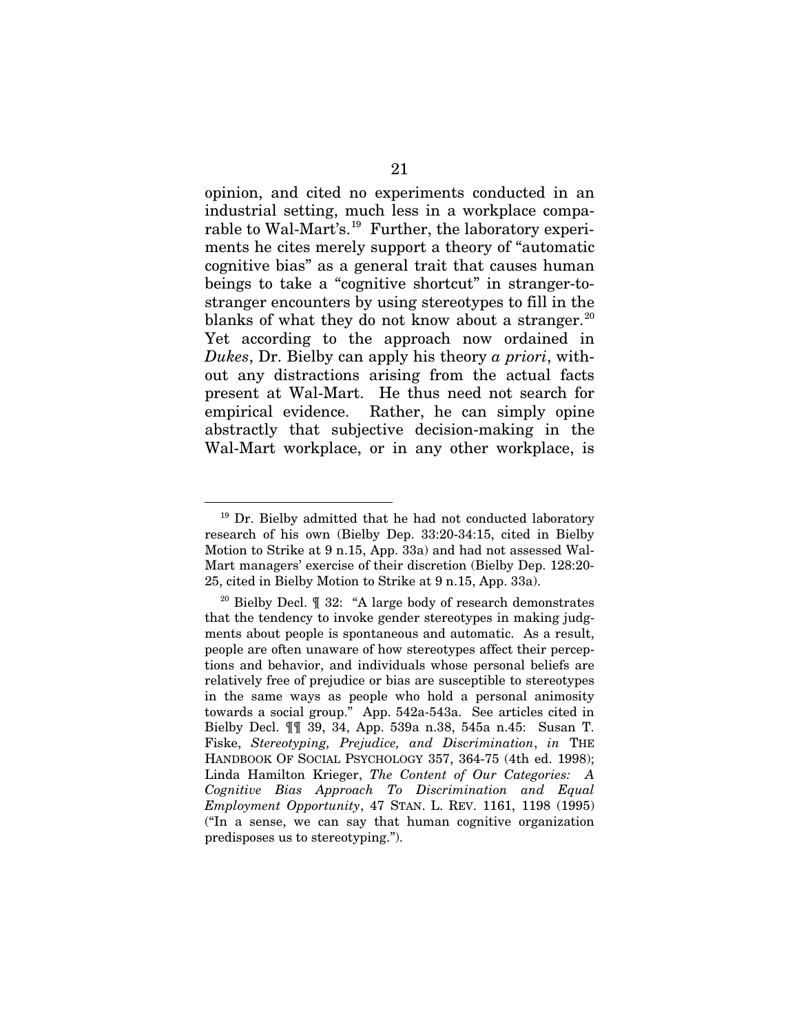opinion, and cited no experiments conducted in an industrial setting, much less in a workplace comparable to Wal-Mart's.<sup>19</sup> Further, the laboratory experiments he cites merely support a theory of "automatic cognitive bias" as a general trait that causes human beings to take a "cognitive shortcut" in stranger-tostranger encounters by using stereotypes to fill in the blanks of what they do not know about a stranger. $^{20}$  $^{20}$  $^{20}$ Yet according to the approach now ordained in *Dukes*, Dr. Bielby can apply his theory *a priori*, without any distractions arising from the actual facts present at Wal-Mart. He thus need not search for empirical evidence. Rather, he can simply opine abstractly that subjective decision-making in the Wal-Mart workplace, or in any other workplace, is

<span id="page-29-0"></span><sup>&</sup>lt;sup>19</sup> Dr. Bielby admitted that he had not conducted laboratory research of his own (Bielby Dep. 33:20-34:15, cited in Bielby Motion to Strike at 9 n.15, App. 33a) and had not assessed Wal-Mart managers' exercise of their discretion (Bielby Dep. 128:20- 25, cited in Bielby Motion to Strike at 9 n.15, App. 33a).

<span id="page-29-1"></span><sup>&</sup>lt;sup>20</sup> Bielby Decl.  $\parallel$  32: "A large body of research demonstrates that the tendency to invoke gender stereotypes in making judgments about people is spontaneous and automatic. As a result, people are often unaware of how stereotypes affect their perceptions and behavior, and individuals whose personal beliefs are relatively free of prejudice or bias are susceptible to stereotypes in the same ways as people who hold a personal animosity towards a social group." App. 542a-543a. See articles cited in Bielby Decl. ¶¶ 39, 34, App. 539a n.38, 545a n.45: Susan T. Fiske, *Stereotyping, Prejudice, and Discrimination*, *in* THE HANDBOOK OF SOCIAL PSYCHOLOGY 357, 364-75 (4th ed. 1998); Linda Hamilton Krieger, *The Content of Our Categories: A Cognitive Bias Approach To Discrimination and Equal Employment Opportunity*, 47 STAN. L. REV. 1161, 1198 (1995) ("In a sense, we can say that human cognitive organization predisposes us to stereotyping.").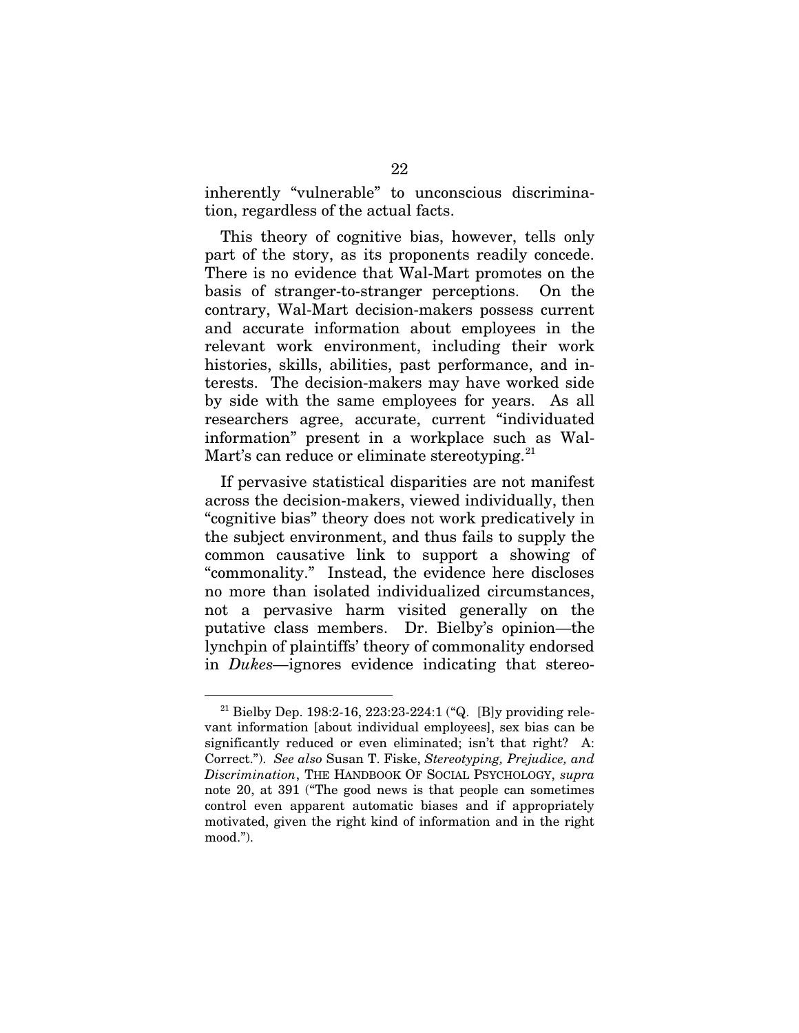inherently "vulnerable" to unconscious discrimination, regardless of the actual facts.

This theory of cognitive bias, however, tells only part of the story, as its proponents readily concede. There is no evidence that Wal-Mart promotes on the basis of stranger-to-stranger perceptions. On the contrary, Wal-Mart decision-makers possess current and accurate information about employees in the relevant work environment, including their work histories, skills, abilities, past performance, and interests. The decision-makers may have worked side by side with the same employees for years. As all researchers agree, accurate, current "individuated information" present in a workplace such as Wal-Mart's can reduce or eliminate stereotyping.<sup>[21](#page-30-0)</sup>

If pervasive statistical disparities are not manifest across the decision-makers, viewed individually, then "cognitive bias" theory does not work predicatively in the subject environment, and thus fails to supply the common causative link to support a showing of "commonality." Instead, the evidence here discloses no more than isolated individualized circumstances, not a pervasive harm visited generally on the putative class members. Dr. Bielby's opinion—the lynchpin of plaintiffs' theory of commonality endorsed in *Dukes—*ignores evidence indicating that stereo-

<span id="page-30-0"></span><sup>&</sup>lt;sup>21</sup> Bielby Dep. 198:2-16, 223:23-224:1 ("Q. [B]y providing relevant information [about individual employees], sex bias can be significantly reduced or even eliminated; isn't that right? A: Correct."). *See also* Susan T. Fiske, *Stereotyping, Prejudice, and Discrimination*, THE HANDBOOK OF SOCIAL PSYCHOLOGY, *supra* note 20, at 391 ("The good news is that people can sometimes control even apparent automatic biases and if appropriately motivated, given the right kind of information and in the right mood.").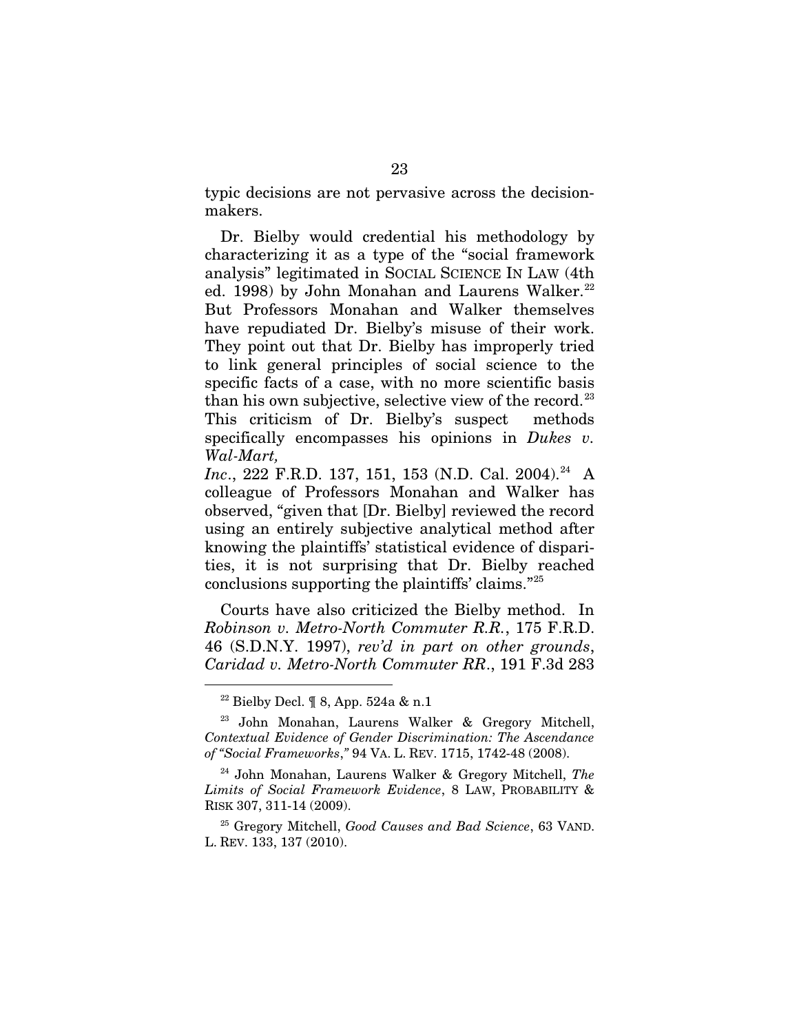typic decisions are not pervasive across the decisionmakers.

Dr. Bielby would credential his methodology by characterizing it as a type of the "social framework analysis" legitimated in SOCIAL SCIENCE IN LAW (4th ed. 1998) by John Monahan and Laurens Walker. $^{22}$ But Professors Monahan and Walker themselves have repudiated Dr. Bielby's misuse of their work. They point out that Dr. Bielby has improperly tried to link general principles of social science to the specific facts of a case, with no more scientific basis than his own subjective, selective view of the record.<sup>23</sup> This criticism of Dr. Bielby's suspect methods specifically encompasses his opinions in *Dukes v. Wal-Mart,* 

*Inc.*, 222 F.R.D. 137, 151, 153 (N.D. Cal. 2004).<sup>[24](#page-31-2)</sup> A colleague of Professors Monahan and Walker has observed, "given that [Dr. Bielby] reviewed the record using an entirely subjective analytical method after knowing the plaintiffs' statistical evidence of disparities, it is not surprising that Dr. Bielby reached conclusions supporting the plaintiffs' claims."[25](#page-31-3)

Courts have also criticized the Bielby method. In *Robinson v. Metro-North Commuter R.R.*, 175 F.R.D. 46 (S.D.N.Y. 1997), *rev'd in part on other grounds*, *Caridad v. Metro-North Commuter RR*., 191 F.3d 283

 <sup>22</sup> Bielby Decl. ¶ 8, App. 524a & n.1

<span id="page-31-1"></span><span id="page-31-0"></span><sup>23</sup> John Monahan, Laurens Walker & Gregory Mitchell, *Contextual Evidence of Gender Discrimination: The Ascendance of "Social Frameworks*,*"* 94 VA. L. REV. 1715, 1742-48 (2008).

<span id="page-31-2"></span><sup>24</sup> John Monahan, Laurens Walker & Gregory Mitchell, *The Limits of Social Framework Evidence*, 8 LAW, PROBABILITY & RISK 307, 311-14 (2009).

<span id="page-31-3"></span><sup>25</sup> Gregory Mitchell, *Good Causes and Bad Science*, 63 VAND. L. REV. 133, 137 (2010).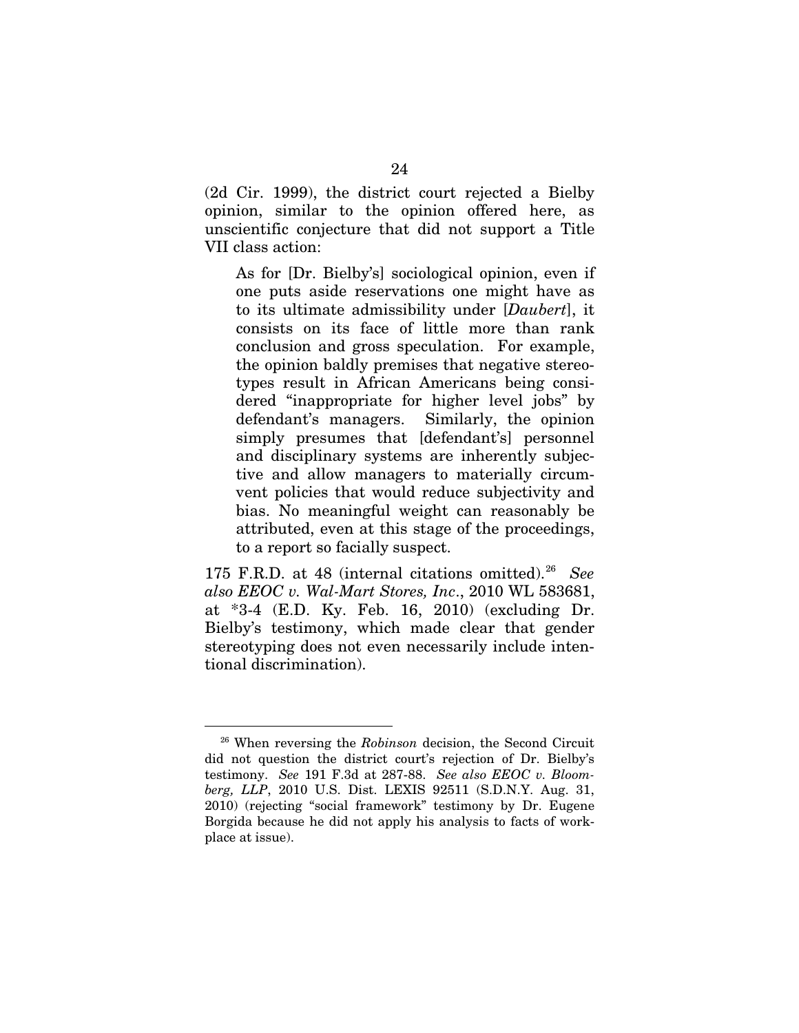(2d Cir. 1999), the district court rejected a Bielby opinion, similar to the opinion offered here, as unscientific conjecture that did not support a Title VII class action:

As for [Dr. Bielby's] sociological opinion, even if one puts aside reservations one might have as to its ultimate admissibility under [*Daubert*], it consists on its face of little more than rank conclusion and gross speculation. For example, the opinion baldly premises that negative stereotypes result in African Americans being considered "inappropriate for higher level jobs" by defendant's managers. Similarly, the opinion simply presumes that [defendant's] personnel and disciplinary systems are inherently subjective and allow managers to materially circumvent policies that would reduce subjectivity and bias. No meaningful weight can reasonably be attributed, even at this stage of the proceedings, to a report so facially suspect.

175 F.R.D. at 48 (internal citations omitted).<sup>[26](#page-32-0)</sup> See *also EEOC v. Wal-Mart Stores, Inc*., 2010 WL 583681, at \*3-4 (E.D. Ky. Feb. 16, 2010) (excluding Dr. Bielby's testimony, which made clear that gender stereotyping does not even necessarily include intentional discrimination).

<span id="page-32-0"></span> <sup>26</sup> When reversing the *Robinson* decision, the Second Circuit did not question the district court's rejection of Dr. Bielby's testimony. *See* 191 F.3d at 287-88. *See also EEOC v. Bloomberg, LLP*, 2010 U.S. Dist. LEXIS 92511 (S.D.N.Y. Aug. 31, 2010) (rejecting "social framework" testimony by Dr. Eugene Borgida because he did not apply his analysis to facts of workplace at issue).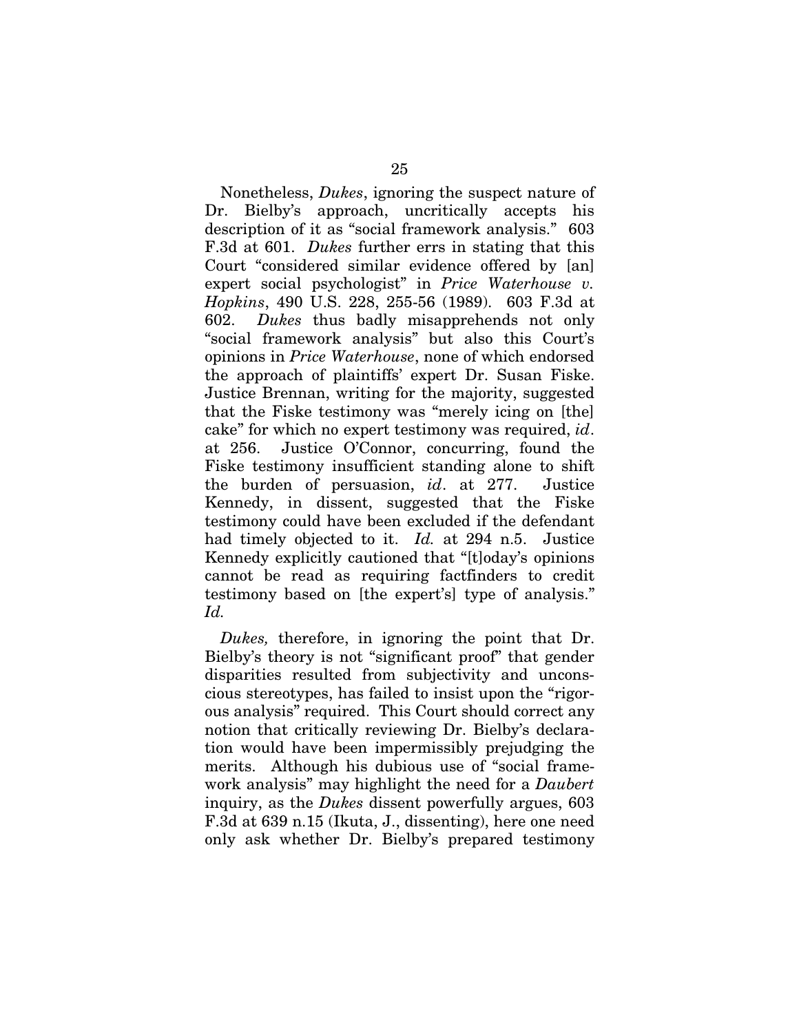Nonetheless, *Dukes*, ignoring the suspect nature of Dr. Bielby's approach, uncritically accepts his description of it as "social framework analysis." 603 F.3d at 601. *Dukes* further errs in stating that this Court "considered similar evidence offered by [an] expert social psychologist" in *Price Waterhouse v. Hopkins*, 490 U.S. 228, 255-56 (1989). 603 F.3d at 602. *Dukes* thus badly misapprehends not only "social framework analysis" but also this Court's opinions in *Price Waterhouse*, none of which endorsed the approach of plaintiffs' expert Dr. Susan Fiske. Justice Brennan, writing for the majority, suggested that the Fiske testimony was "merely icing on [the] cake" for which no expert testimony was required, *id*. at 256. Justice O'Connor, concurring, found the Fiske testimony insufficient standing alone to shift the burden of persuasion, *id*. at 277. Justice Kennedy, in dissent, suggested that the Fiske testimony could have been excluded if the defendant had timely objected to it. *Id.* at 294 n.5. Justice Kennedy explicitly cautioned that "[t]oday's opinions cannot be read as requiring factfinders to credit testimony based on [the expert's] type of analysis." *Id.*

*Dukes,* therefore, in ignoring the point that Dr. Bielby's theory is not "significant proof" that gender disparities resulted from subjectivity and unconscious stereotypes, has failed to insist upon the "rigorous analysis" required. This Court should correct any notion that critically reviewing Dr. Bielby's declaration would have been impermissibly prejudging the merits. Although his dubious use of "social framework analysis" may highlight the need for a *Daubert* inquiry, as the *Dukes* dissent powerfully argues, 603 F.3d at 639 n.15 (Ikuta, J., dissenting), here one need only ask whether Dr. Bielby's prepared testimony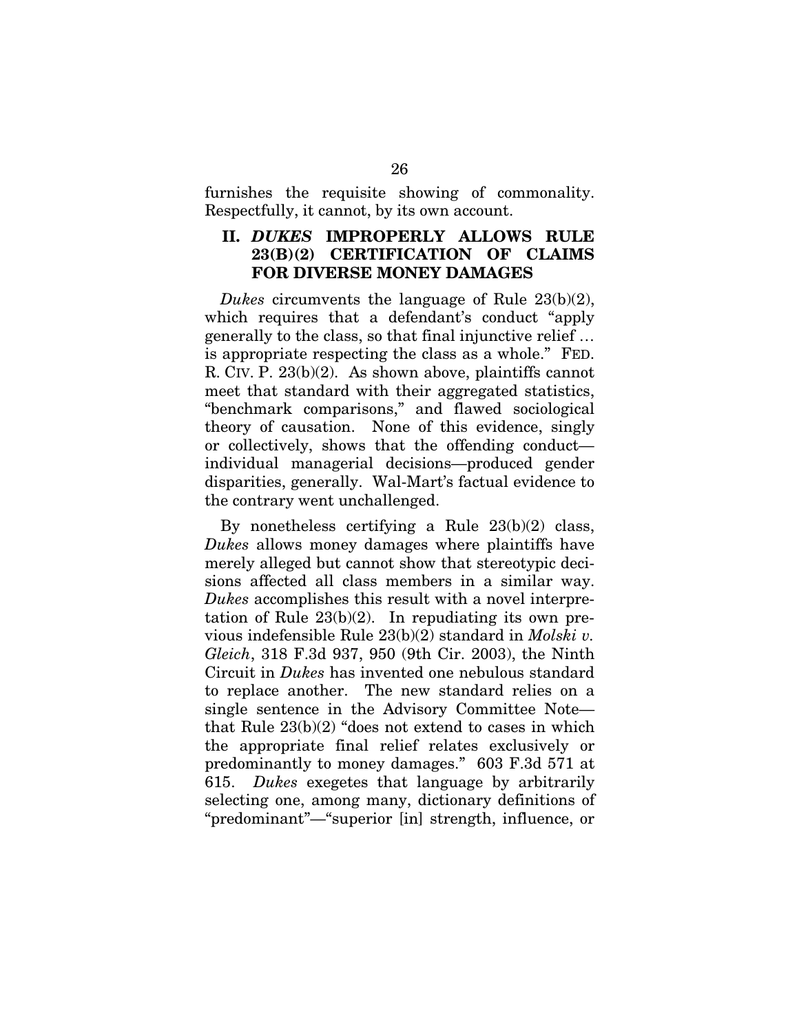furnishes the requisite showing of commonality. Respectfully, it cannot, by its own account.

### **II.** *DUKES* **IMPROPERLY ALLOWS RULE 23(B)(2) CERTIFICATION OF CLAIMS FOR DIVERSE MONEY DAMAGES**

*Dukes* circumvents the language of Rule 23(b)(2), which requires that a defendant's conduct "apply generally to the class, so that final injunctive relief … is appropriate respecting the class as a whole." FED. R. CIV. P. 23(b)(2). As shown above, plaintiffs cannot meet that standard with their aggregated statistics, "benchmark comparisons," and flawed sociological theory of causation. None of this evidence, singly or collectively, shows that the offending conduct individual managerial decisions—produced gender disparities, generally. Wal-Mart's factual evidence to the contrary went unchallenged.

By nonetheless certifying a Rule  $23(b)(2)$  class, *Dukes* allows money damages where plaintiffs have merely alleged but cannot show that stereotypic decisions affected all class members in a similar way. *Dukes* accomplishes this result with a novel interpretation of Rule  $23(b)(2)$ . In repudiating its own previous indefensible Rule 23(b)(2) standard in *Molski v. Gleich*, 318 F.3d 937, 950 (9th Cir. 2003), the Ninth Circuit in *Dukes* has invented one nebulous standard to replace another. The new standard relies on a single sentence in the Advisory Committee Note that Rule 23(b)(2) "does not extend to cases in which the appropriate final relief relates exclusively or predominantly to money damages." 603 F.3d 571 at 615. *Dukes* exegetes that language by arbitrarily selecting one, among many, dictionary definitions of "predominant"—"superior [in] strength, influence, or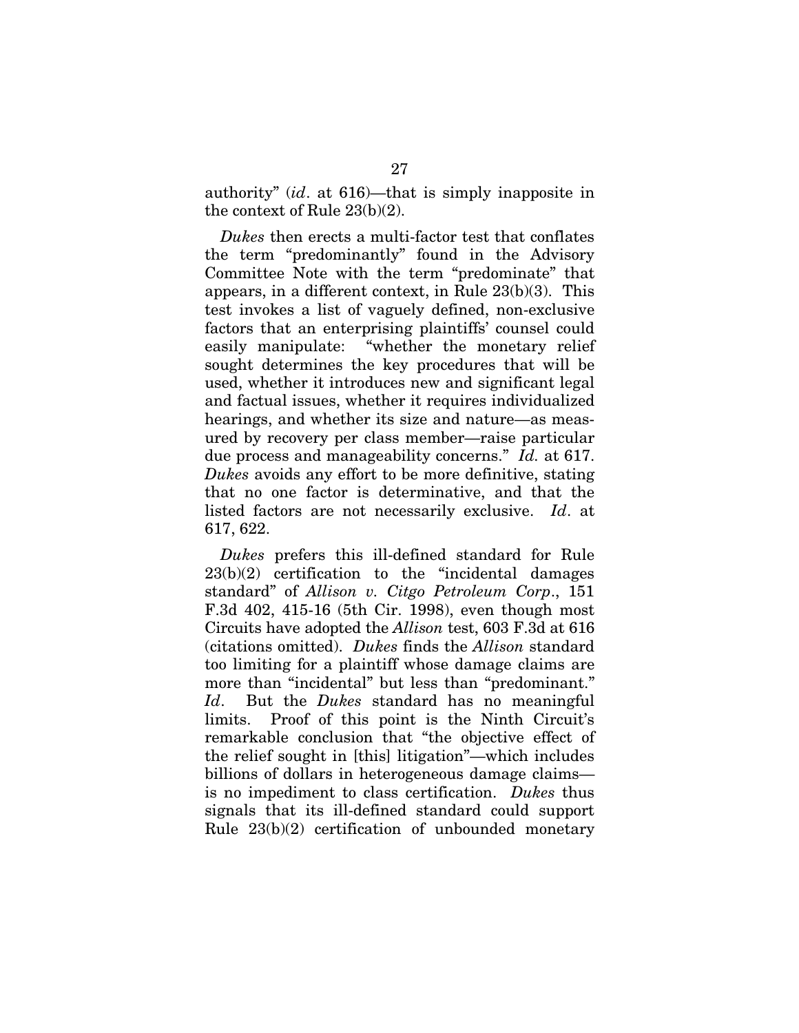authority" (*id*. at 616)—that is simply inapposite in the context of Rule 23(b)(2).

*Dukes* then erects a multi-factor test that conflates the term "predominantly" found in the Advisory Committee Note with the term "predominate" that appears, in a different context, in Rule 23(b)(3). This test invokes a list of vaguely defined, non-exclusive factors that an enterprising plaintiffs' counsel could easily manipulate: "whether the monetary relief sought determines the key procedures that will be used, whether it introduces new and significant legal and factual issues, whether it requires individualized hearings, and whether its size and nature—as measured by recovery per class member—raise particular due process and manageability concerns." *Id.* at 617. *Dukes* avoids any effort to be more definitive, stating that no one factor is determinative, and that the listed factors are not necessarily exclusive. *Id*. at 617, 622.

*Dukes* prefers this ill-defined standard for Rule 23(b)(2) certification to the "incidental damages standard" of *Allison v. Citgo Petroleum Corp*., 151 F.3d 402, 415-16 (5th Cir. 1998), even though most Circuits have adopted the *Allison* test, 603 F.3d at 616 (citations omitted). *Dukes* finds the *Allison* standard too limiting for a plaintiff whose damage claims are more than "incidental" but less than "predominant." *Id*. But the *Dukes* standard has no meaningful limits. Proof of this point is the Ninth Circuit's remarkable conclusion that "the objective effect of the relief sought in [this] litigation"—which includes billions of dollars in heterogeneous damage claims is no impediment to class certification. *Dukes* thus signals that its ill-defined standard could support Rule 23(b)(2) certification of unbounded monetary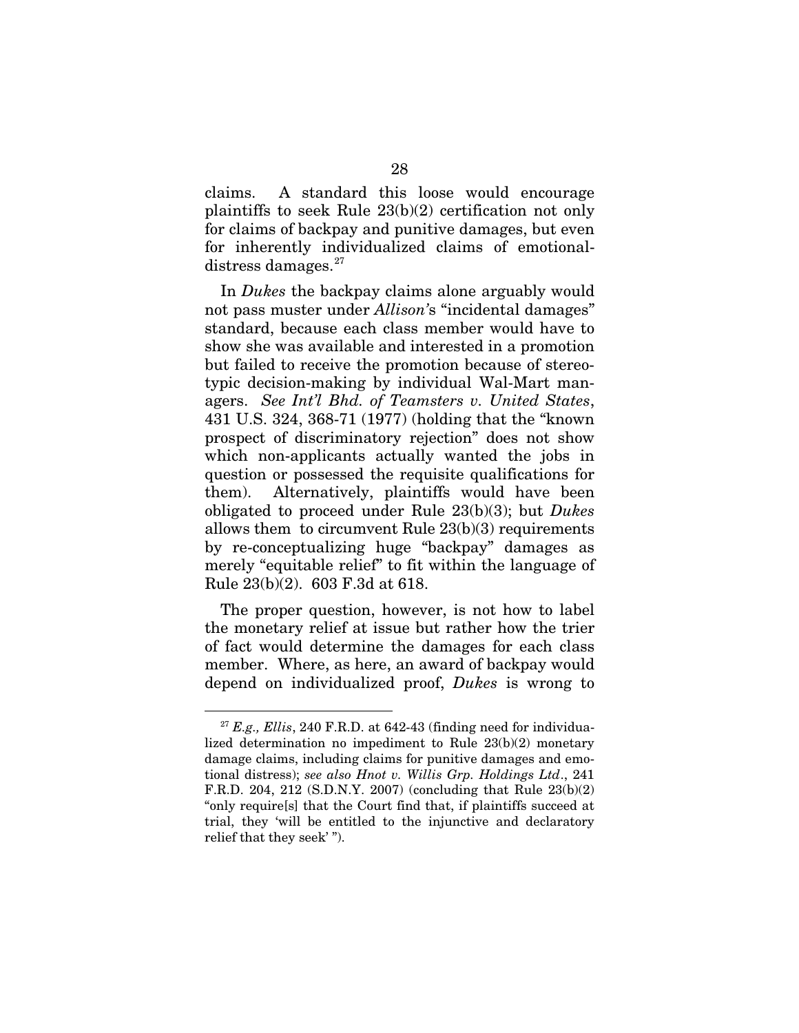claims. A standard this loose would encourage plaintiffs to seek Rule 23(b)(2) certification not only for claims of backpay and punitive damages, but even for inherently individualized claims of emotionaldistress damages. $27$ 

In *Dukes* the backpay claims alone arguably would not pass muster under *Allison'*s "incidental damages" standard, because each class member would have to show she was available and interested in a promotion but failed to receive the promotion because of stereotypic decision-making by individual Wal-Mart managers. *See Int'l Bhd. of Teamsters v. United States*, 431 U.S. 324, 368-71 (1977) (holding that the "known prospect of discriminatory rejection" does not show which non-applicants actually wanted the jobs in question or possessed the requisite qualifications for them). Alternatively, plaintiffs would have been obligated to proceed under Rule 23(b)(3); but *Dukes* allows them to circumvent Rule 23(b)(3) requirements by re-conceptualizing huge "backpay" damages as merely "equitable relief" to fit within the language of Rule 23(b)(2). 603 F.3d at 618.

The proper question, however, is not how to label the monetary relief at issue but rather how the trier of fact would determine the damages for each class member. Where, as here, an award of backpay would depend on individualized proof, *Dukes* is wrong to

<span id="page-36-0"></span> $27$   $E.g.,$   $Ellis, 240$  F.R.D. at 642-43 (finding need for individualized determination no impediment to Rule 23(b)(2) monetary damage claims, including claims for punitive damages and emotional distress); *see also Hnot v. Willis Grp. Holdings Ltd*., 241 F.R.D. 204, 212 (S.D.N.Y. 2007) (concluding that Rule 23(b)(2) "only require[s] that the Court find that, if plaintiffs succeed at trial, they 'will be entitled to the injunctive and declaratory relief that they seek' ").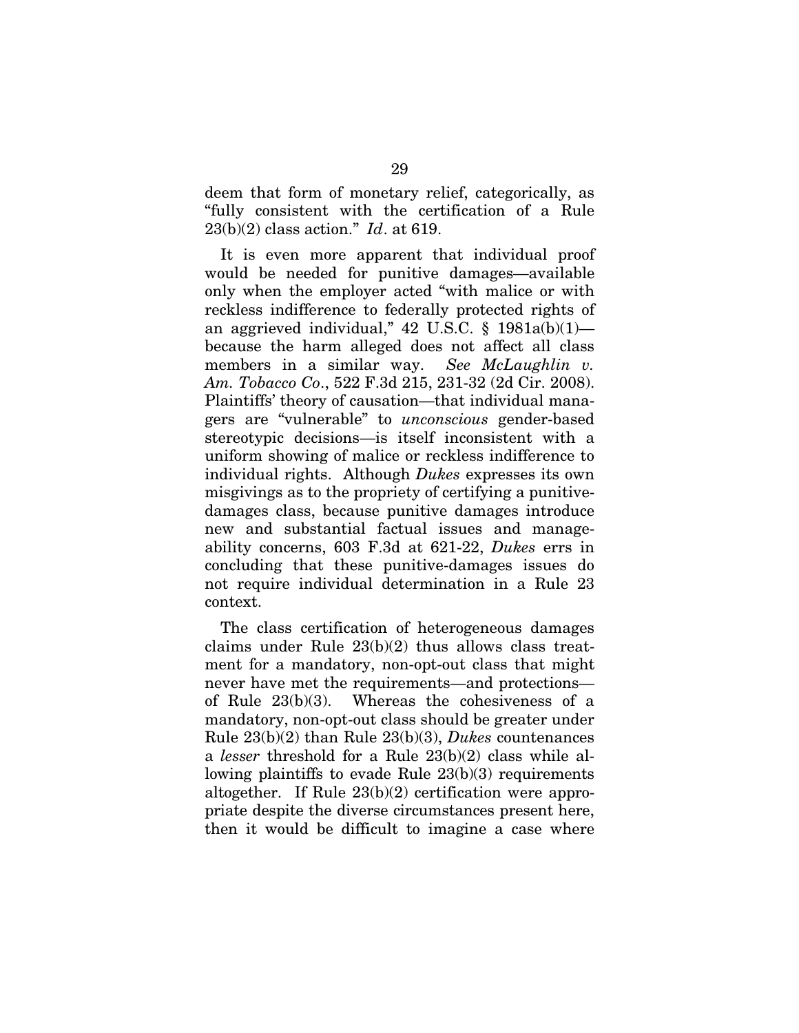deem that form of monetary relief, categorically, as "fully consistent with the certification of a Rule 23(b)(2) class action." *Id*. at 619.

It is even more apparent that individual proof would be needed for punitive damages—available only when the employer acted "with malice or with reckless indifference to federally protected rights of an aggrieved individual," 42 U.S.C.  $\S$  1981a(b)(1)because the harm alleged does not affect all class members in a similar way. *See McLaughlin v. Am. Tobacco Co*., 522 F.3d 215, 231-32 (2d Cir. 2008). Plaintiffs' theory of causation—that individual managers are "vulnerable" to *unconscious* gender-based stereotypic decisions—is itself inconsistent with a uniform showing of malice or reckless indifference to individual rights. Although *Dukes* expresses its own misgivings as to the propriety of certifying a punitivedamages class, because punitive damages introduce new and substantial factual issues and manageability concerns, 603 F.3d at 621-22, *Dukes* errs in concluding that these punitive-damages issues do not require individual determination in a Rule 23 context.

The class certification of heterogeneous damages claims under Rule 23(b)(2) thus allows class treatment for a mandatory, non-opt-out class that might never have met the requirements—and protections of Rule 23(b)(3). Whereas the cohesiveness of a mandatory, non-opt-out class should be greater under Rule 23(b)(2) than Rule 23(b)(3), *Dukes* countenances a *lesser* threshold for a Rule 23(b)(2) class while allowing plaintiffs to evade Rule 23(b)(3) requirements altogether. If Rule 23(b)(2) certification were appropriate despite the diverse circumstances present here, then it would be difficult to imagine a case where